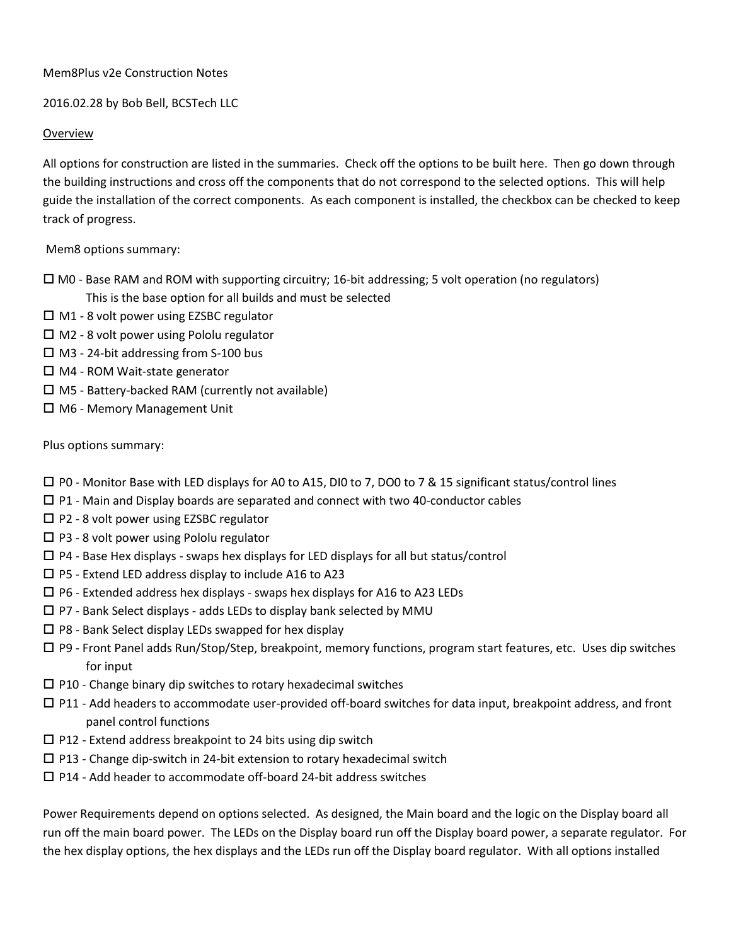### Mem8Plus v2e Construction Notes

### 2016.02.28 by Bob Bell, BCSTech LLC

### Overview

All options for construction are listed in the summaries. Check off the options to be built here. Then go down through the building instructions and cross off the components that do not correspond to the selected options. This will help guide the installation of the correct components. As each component is installed, the checkbox can be checked to keep track of progress.

Mem8 options summary:

- $\Box$  M0 Base RAM and ROM with supporting circuitry; 16-bit addressing; 5 volt operation (no regulators) This is the base option for all builds and must be selected
- M1 8 volt power using EZSBC regulator
- $\square$  M2 8 volt power using Pololu regulator
- M3 24-bit addressing from S-100 bus
- $\Box$  M4 ROM Wait-state generator
- $\Box$  M5 Battery-backed RAM (currently not available)
- □ M6 Memory Management Unit

Plus options summary:

- $\square$  P0 Monitor Base with LED displays for A0 to A15, DI0 to 7, DO0 to 7 & 15 significant status/control lines
- $\square$  P1 Main and Display boards are separated and connect with two 40-conductor cables
- $\square$  P2 8 volt power using EZSBC regulator
- $\square$  P3 8 volt power using Pololu regulator
- $\square$  P4 Base Hex displays swaps hex displays for LED displays for all but status/control
- $\square$  P5 Extend LED address display to include A16 to A23
- $\Box$  P6 Extended address hex displays swaps hex displays for A16 to A23 LEDs
- $\square$  P7 Bank Select displays adds LEDs to display bank selected by MMU
- $\square$  P8 Bank Select display LEDs swapped for hex display
- $\Box$  P9 Front Panel adds Run/Stop/Step, breakpoint, memory functions, program start features, etc. Uses dip switches for input
- $\square$  P10 Change binary dip switches to rotary hexadecimal switches
- $\square$  P11 Add headers to accommodate user-provided off-board switches for data input, breakpoint address, and front panel control functions
- $\square$  P12 Extend address breakpoint to 24 bits using dip switch
- $\square$  P13 Change dip-switch in 24-bit extension to rotary hexadecimal switch
- $\square$  P14 Add header to accommodate off-board 24-bit address switches

Power Requirements depend on options selected. As designed, the Main board and the logic on the Display board all run off the main board power. The LEDs on the Display board run off the Display board power, a separate regulator. For the hex display options, the hex displays and the LEDs run off the Display board regulator. With all options installed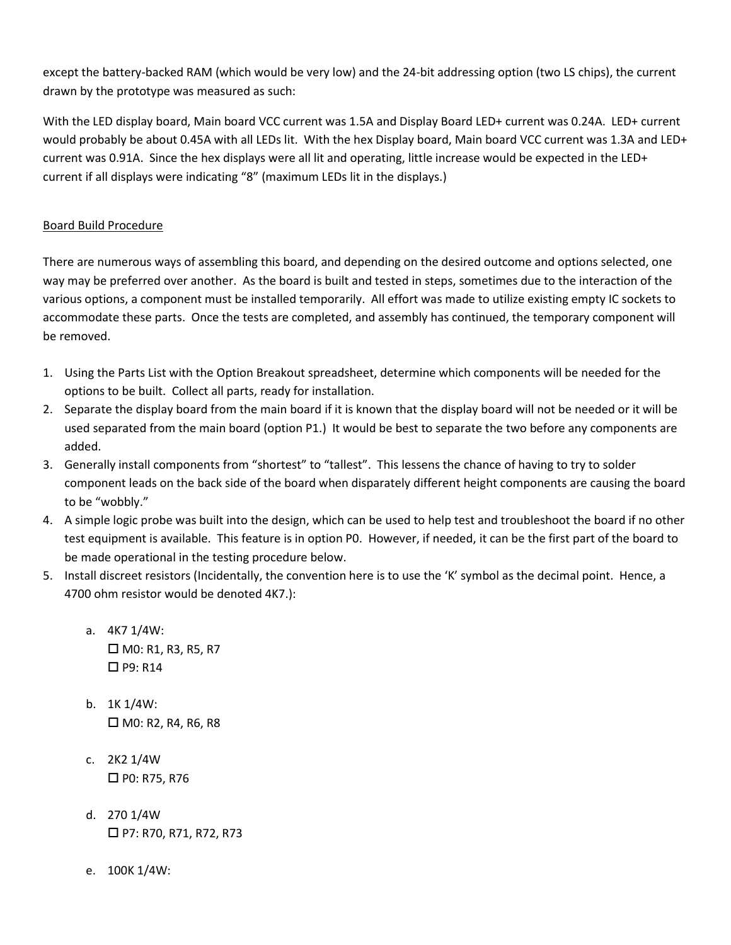except the battery-backed RAM (which would be very low) and the 24-bit addressing option (two LS chips), the current drawn by the prototype was measured as such:

With the LED display board, Main board VCC current was 1.5A and Display Board LED+ current was 0.24A. LED+ current would probably be about 0.45A with all LEDs lit. With the hex Display board, Main board VCC current was 1.3A and LED+ current was 0.91A. Since the hex displays were all lit and operating, little increase would be expected in the LED+ current if all displays were indicating "8" (maximum LEDs lit in the displays.)

## Board Build Procedure

There are numerous ways of assembling this board, and depending on the desired outcome and options selected, one way may be preferred over another. As the board is built and tested in steps, sometimes due to the interaction of the various options, a component must be installed temporarily. All effort was made to utilize existing empty IC sockets to accommodate these parts. Once the tests are completed, and assembly has continued, the temporary component will be removed.

- 1. Using the Parts List with the Option Breakout spreadsheet, determine which components will be needed for the options to be built. Collect all parts, ready for installation.
- 2. Separate the display board from the main board if it is known that the display board will not be needed or it will be used separated from the main board (option P1.) It would be best to separate the two before any components are added.
- 3. Generally install components from "shortest" to "tallest". This lessens the chance of having to try to solder component leads on the back side of the board when disparately different height components are causing the board to be "wobbly."
- 4. A simple logic probe was built into the design, which can be used to help test and troubleshoot the board if no other test equipment is available. This feature is in option P0. However, if needed, it can be the first part of the board to be made operational in the testing procedure below.
- 5. Install discreet resistors (Incidentally, the convention here is to use the 'K' symbol as the decimal point. Hence, a 4700 ohm resistor would be denoted 4K7.):
	- a. 4K7 1/4W:  $\Box$  M0: R1, R3, R5, R7  $\Box$  P9: R14
	- b. 1K 1/4W:  $\Box$  MO: R2, R4, R6, R8
	- c. 2K2 1/4W  $\Box$  P0: R75, R76
	- d. 270 1/4W P7: R70, R71, R72, R73
	- e. 100K 1/4W: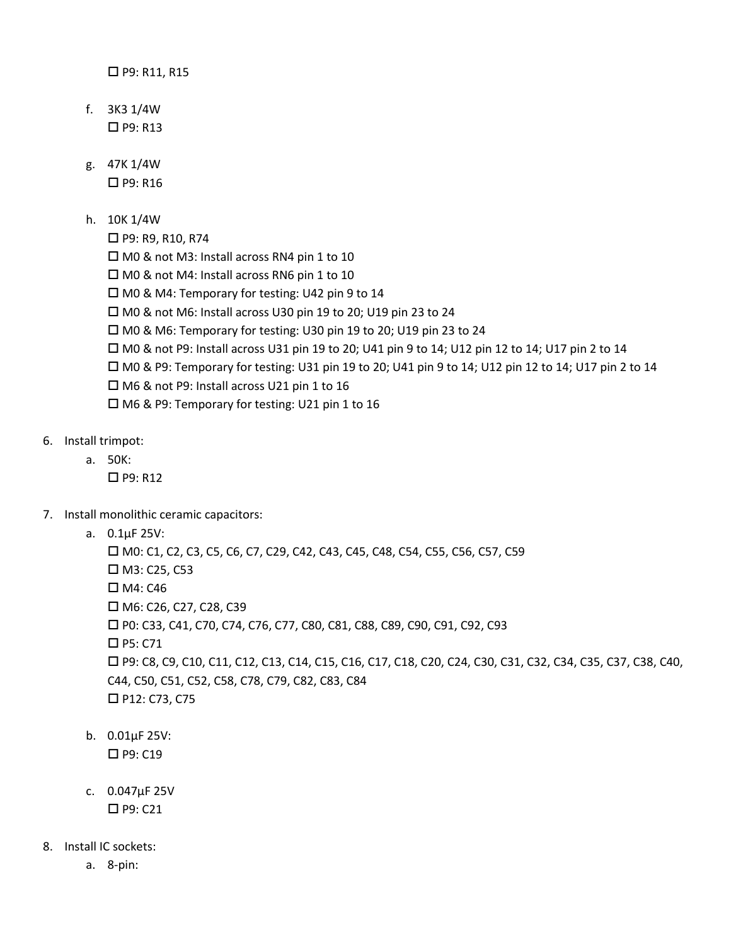□ P9: R11, R15

- f. 3K3 1/4W  $\Box$  P9: R13
- g. 47K 1/4W
	- $\Box$  P9: R16
- h. 10K 1/4W
	- □ P9: R9, R10, R74
	- $\Box$  M0 & not M3: Install across RN4 pin 1 to 10
	- □ M0 & not M4: Install across RN6 pin 1 to 10
	- □ M0 & M4: Temporary for testing: U42 pin 9 to 14
	- □ M0 & not M6: Install across U30 pin 19 to 20; U19 pin 23 to 24
	- $\Box$  M0 & M6: Temporary for testing: U30 pin 19 to 20; U19 pin 23 to 24
	- $\Box$  M0 & not P9: Install across U31 pin 19 to 20; U41 pin 9 to 14; U12 pin 12 to 14; U17 pin 2 to 14
	- M0 & P9: Temporary for testing: U31 pin 19 to 20; U41 pin 9 to 14; U12 pin 12 to 14; U17 pin 2 to 14
	- $\Box$  M6 & not P9: Install across U21 pin 1 to 16
	- □ M6 & P9: Temporary for testing: U21 pin 1 to 16
- 6. Install trimpot:
	- a. 50K:
		- $\Box$  P9: R12
- 7. Install monolithic ceramic capacitors:
	- a. 0.1μF 25V:

 M0: C1, C2, C3, C5, C6, C7, C29, C42, C43, C45, C48, C54, C55, C56, C57, C59  $\Box$  M3: C25, C53 M4: C46 M6: C26, C27, C28, C39 P0: C33, C41, C70, C74, C76, C77, C80, C81, C88, C89, C90, C91, C92, C93 □ P5: C71 P9: C8, C9, C10, C11, C12, C13, C14, C15, C16, C17, C18, C20, C24, C30, C31, C32, C34, C35, C37, C38, C40, C44, C50, C51, C52, C58, C78, C79, C82, C83, C84 □ P12: C73, C75

- b. 0.01μF 25V: □ P9: C19
- c. 0.047μF 25V  $\Box$  P9: C21
- 8. Install IC sockets:
	- a. 8-pin: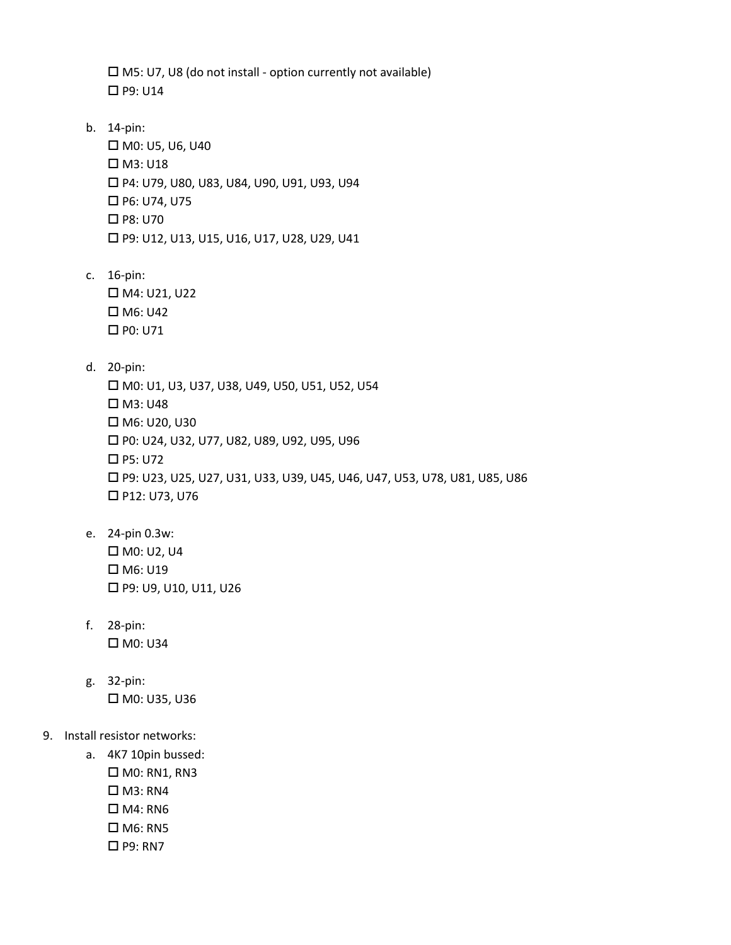$\square$  M5: U7, U8 (do not install - option currently not available) P9: U14

- b. 14-pin: M0: U5, U6, U40 M3: U18 P4: U79, U80, U83, U84, U90, U91, U93, U94 P6: U74, U75 P8: U70 P9: U12, U13, U15, U16, U17, U28, U29, U41
- c. 16-pin: M4: U21, U22 M6: U42  $\Box$  P0: U71
- d. 20-pin:

 M0: U1, U3, U37, U38, U49, U50, U51, U52, U54  $\Box$  M3: U48 M6: U20, U30 P0: U24, U32, U77, U82, U89, U92, U95, U96 P5: U72 P9: U23, U25, U27, U31, U33, U39, U45, U46, U47, U53, U78, U81, U85, U86 P12: U73, U76

- e. 24-pin 0.3w: M0: U2, U4 M6: U19 □ P9: U9, U10, U11, U26
- f. 28-pin: M0: U34
- g. 32-pin: M0: U35, U36

# 9. Install resistor networks:

- a. 4K7 10pin bussed:
	- $\square$  M0: RN1, RN3
	- $\Box$  M3: RN4
	- $\Box$  M4: RN6
	- $\square$  M6: RN5
	- □ P9: RN7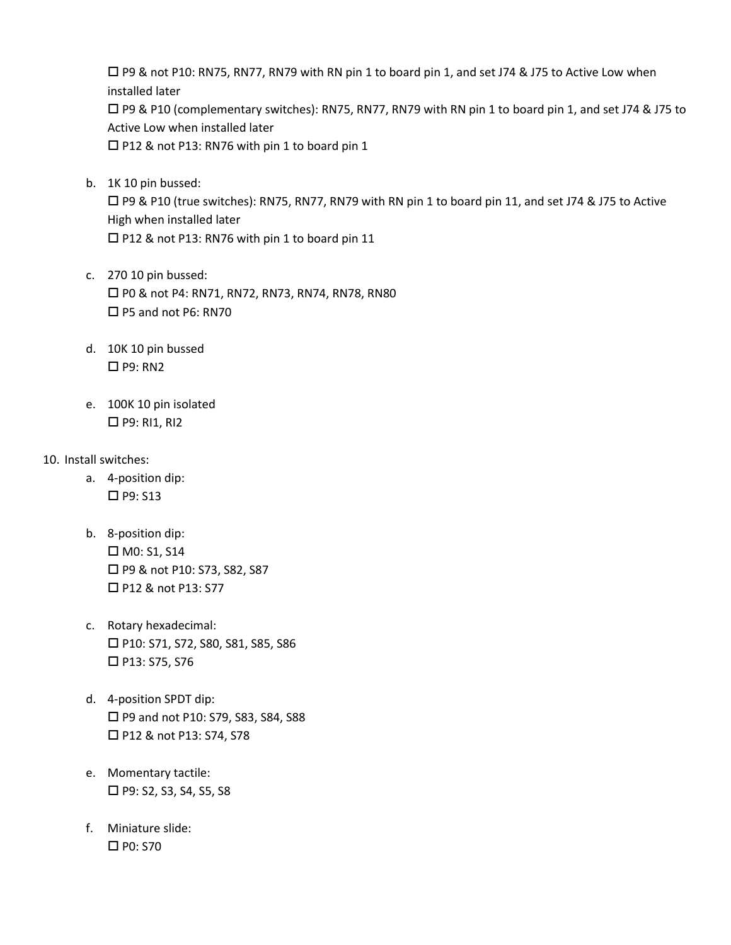$\Box$  P9 & not P10: RN75, RN77, RN79 with RN pin 1 to board pin 1, and set J74 & J75 to Active Low when installed later P9 & P10 (complementary switches): RN75, RN77, RN79 with RN pin 1 to board pin 1, and set J74 & J75 to Active Low when installed later P12 & not P13: RN76 with pin 1 to board pin 1

b. 1K 10 pin bussed:

 P9 & P10 (true switches): RN75, RN77, RN79 with RN pin 1 to board pin 11, and set J74 & J75 to Active High when installed later □ P12 & not P13: RN76 with pin 1 to board pin 11

- c. 270 10 pin bussed: □ P0 & not P4: RN71, RN72, RN73, RN74, RN78, RN80 □ P5 and not P6: RN70
- d. 10K 10 pin bussed  $\Box$  P9: RN2
- e. 100K 10 pin isolated  $\Box$  P9: RI1, RI2
- 10. Install switches:
	- a. 4-position dip:  $\Box$  P9: S13
	- b. 8-position dip: M0: S1, S14 □ P9 & not P10: S73, S82, S87 □ P12 & not P13: S77
	- c. Rotary hexadecimal: P10: S71, S72, S80, S81, S85, S86 P13: S75, S76
	- d. 4-position SPDT dip: □ P9 and not P10: S79, S83, S84, S88 □ P12 & not P13: S74, S78
	- e. Momentary tactile:  $\Box$  P9: S2, S3, S4, S5, S8
	- f. Miniature slide: □ P0: S70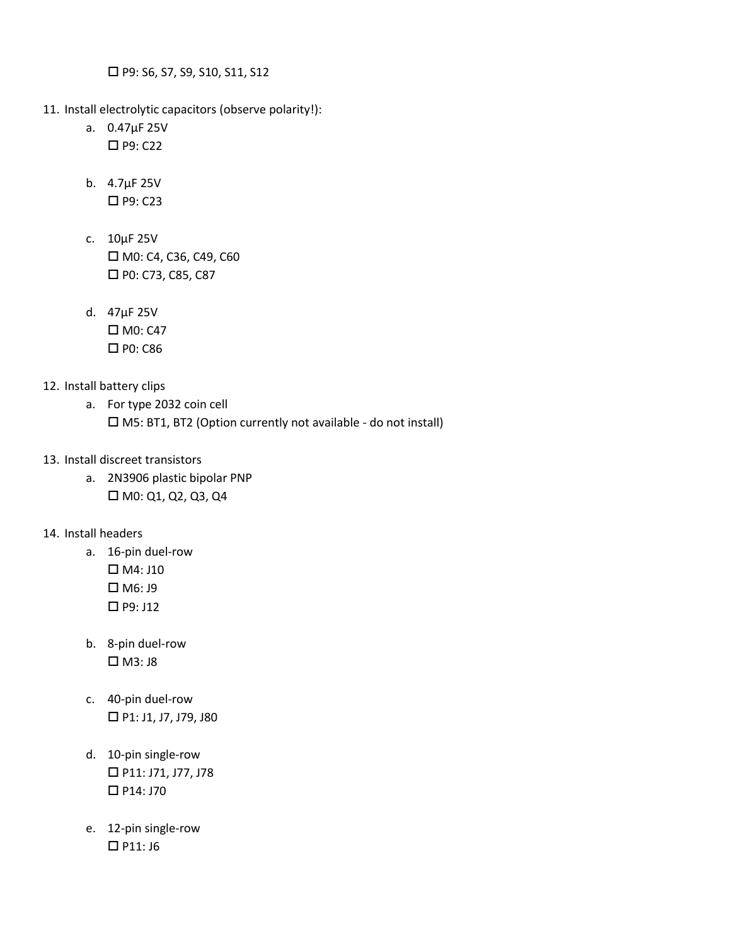□ P9: S6, S7, S9, S10, S11, S12

- 11. Install electrolytic capacitors (observe polarity!):
	- a. 0.47μF 25V  $\Box$  P9: C22
	- b. 4.7μF 25V  $\Box$  P9: C23
	- c. 10μF 25V □ M0: C4, C36, C49, C60 □ P0: C73, C85, C87
	- d. 47μF 25V  $\Box$  M0: C47 P0: C86

### 12. Install battery clips

- a. For type 2032 coin cell M5: BT1, BT2 (Option currently not available - do not install)
- 13. Install discreet transistors
	- a. 2N3906 plastic bipolar PNP M0: Q1, Q2, Q3, Q4

## 14. Install headers

- a. 16-pin duel-row
	- M4: J10 M6: J9 P9: J12
- b. 8-pin duel-row  $\Box$  M3: J8
- c. 40-pin duel-row  $\Box$  P1: J1, J7, J79, J80
- d. 10-pin single-row P11: J71, J77, J78  $\Box$  P14: J70
- e. 12-pin single-row  $\Box$  P11: J6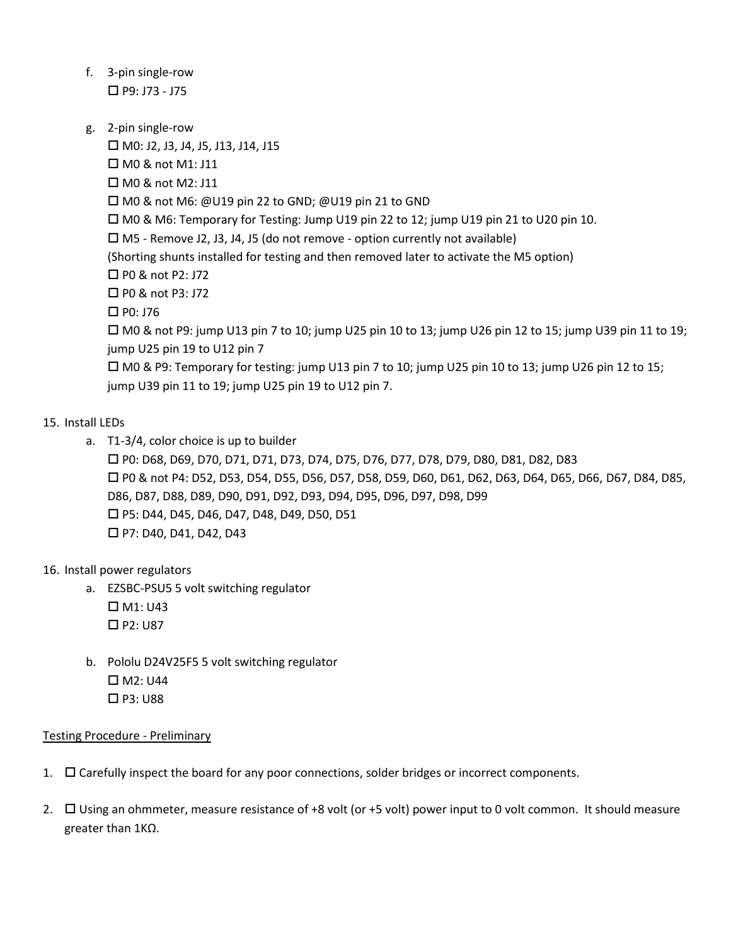- f. 3-pin single-row  $\Box$  P9: J73 - J75
- g. 2-pin single-row

 $\Box$  M0: J2, J3, J4, J5, J13, J14, J15 □ M0 & not M1: J11 □ M0 & not M2: J11 □ M0 & not M6: @U19 pin 22 to GND; @U19 pin 21 to GND  $\Box$  M0 & M6: Temporary for Testing: Jump U19 pin 22 to 12; jump U19 pin 21 to U20 pin 10.  $\Box$  M5 - Remove J2, J3, J4, J5 (do not remove - option currently not available) (Shorting shunts installed for testing and then removed later to activate the M5 option) □ P0 & not P2: J72 □ P0 & not P3: J72  $\Box$  P0: J76  $\Box$  M0 & not P9: jump U13 pin 7 to 10; jump U25 pin 10 to 13; jump U26 pin 12 to 15; jump U39 pin 11 to 19; jump U25 pin 19 to U12 pin 7 M0 & P9: Temporary for testing: jump U13 pin 7 to 10; jump U25 pin 10 to 13; jump U26 pin 12 to 15; jump U39 pin 11 to 19; jump U25 pin 19 to U12 pin 7.

## 15. Install LEDs

a. T1-3/4, color choice is up to builder P0: D68, D69, D70, D71, D71, D73, D74, D75, D76, D77, D78, D79, D80, D81, D82, D83 P0 & not P4: D52, D53, D54, D55, D56, D57, D58, D59, D60, D61, D62, D63, D64, D65, D66, D67, D84, D85, D86, D87, D88, D89, D90, D91, D92, D93, D94, D95, D96, D97, D98, D99 P5: D44, D45, D46, D47, D48, D49, D50, D51 P7: D40, D41, D42, D43

## 16. Install power regulators

- a. EZSBC-PSU5 5 volt switching regulator  $\Box$  M1: U43 □ P2: U87
- b. Pololu D24V25F5 5 volt switching regulator  $\Box$  M2: U44  $\Box$  P3: U88

#### Testing Procedure - Preliminary

- 1.  $\Box$  Carefully inspect the board for any poor connections, solder bridges or incorrect components.
- 2. Using an ohmmeter, measure resistance of +8 volt (or +5 volt) power input to 0 volt common. It should measure greater than 1KΩ.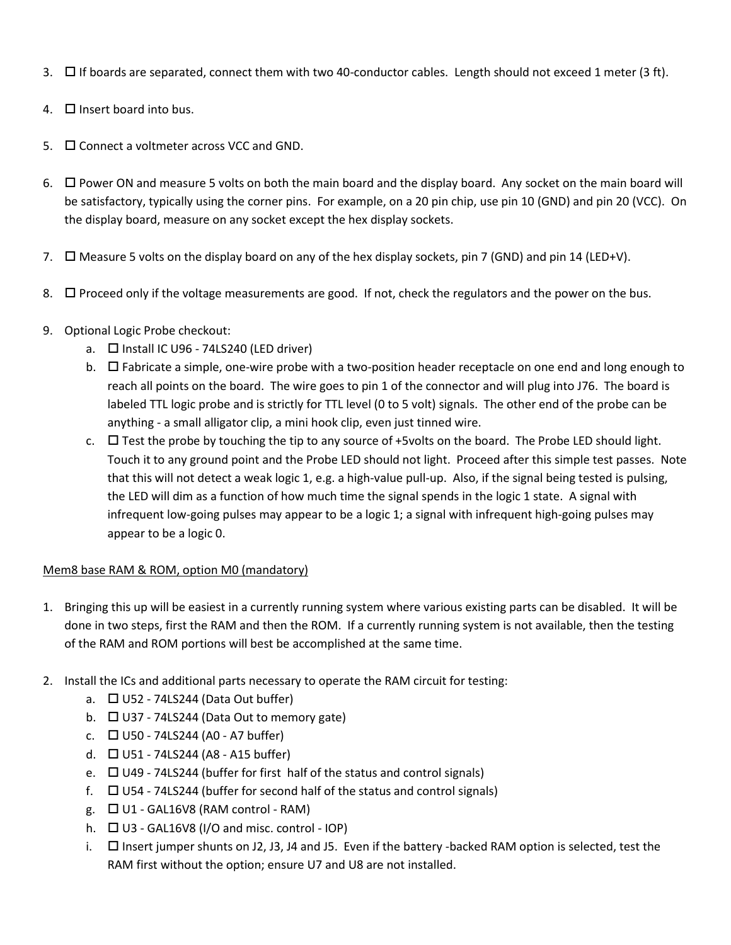- 3.  $\Box$  If boards are separated, connect them with two 40-conductor cables. Length should not exceed 1 meter (3 ft).
- 4.  $\Box$  Insert board into bus.
- $5.$   $\Box$  Connect a voltmeter across VCC and GND.
- 6.  $\Box$  Power ON and measure 5 volts on both the main board and the display board. Any socket on the main board will be satisfactory, typically using the corner pins. For example, on a 20 pin chip, use pin 10 (GND) and pin 20 (VCC). On the display board, measure on any socket except the hex display sockets.
- 7.  $\Box$  Measure 5 volts on the display board on any of the hex display sockets, pin 7 (GND) and pin 14 (LED+V).
- 8.  $\Box$  Proceed only if the voltage measurements are good. If not, check the regulators and the power on the bus.

# 9. Optional Logic Probe checkout:

- a.  $\Box$  Install IC U96 74LS240 (LED driver)
- b. Fabricate a simple, one-wire probe with a two-position header receptacle on one end and long enough to reach all points on the board. The wire goes to pin 1 of the connector and will plug into J76. The board is labeled TTL logic probe and is strictly for TTL level (0 to 5 volt) signals. The other end of the probe can be anything - a small alligator clip, a mini hook clip, even just tinned wire.
- c.  $\Box$  Test the probe by touching the tip to any source of +5volts on the board. The Probe LED should light. Touch it to any ground point and the Probe LED should not light. Proceed after this simple test passes. Note that this will not detect a weak logic 1, e.g. a high-value pull-up. Also, if the signal being tested is pulsing, the LED will dim as a function of how much time the signal spends in the logic 1 state. A signal with infrequent low-going pulses may appear to be a logic 1; a signal with infrequent high-going pulses may appear to be a logic 0.

## Mem8 base RAM & ROM, option M0 (mandatory)

- 1. Bringing this up will be easiest in a currently running system where various existing parts can be disabled. It will be done in two steps, first the RAM and then the ROM. If a currently running system is not available, then the testing of the RAM and ROM portions will best be accomplished at the same time.
- 2. Install the ICs and additional parts necessary to operate the RAM circuit for testing:
	- a.  $\Box$  U52 74LS244 (Data Out buffer)
	- b.  $\Box$  U37 74LS244 (Data Out to memory gate)
	- c.  $\Box$  U50 74LS244 (A0 A7 buffer)
	- d.  $\Box$  U51 74LS244 (A8 A15 buffer)
	- e.  $\Box$  U49 74LS244 (buffer for first half of the status and control signals)
	- f.  $\Box$  U54 74LS244 (buffer for second half of the status and control signals)
	- g.  $\Box$  U1 GAL16V8 (RAM control RAM)
	- h.  $\Box$  U3 GAL16V8 (I/O and misc. control IOP)
	- i.  $\Box$  Insert jumper shunts on J2, J3, J4 and J5. Even if the battery -backed RAM option is selected, test the RAM first without the option; ensure U7 and U8 are not installed.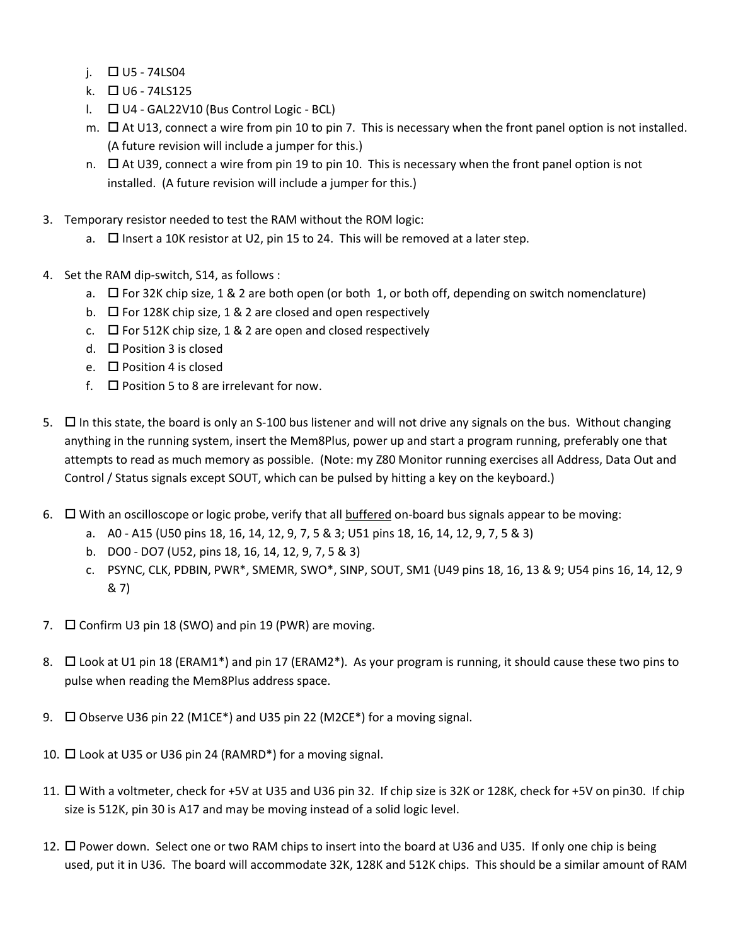- j.  $\Box$  U5 74LS04
- k.  $\Box$  U6 74LS125
- $\Box$   $\Box$  U4 GAL22V10 (Bus Control Logic BCL)
- m.  $\Box$  At U13, connect a wire from pin 10 to pin 7. This is necessary when the front panel option is not installed. (A future revision will include a jumper for this.)
- n.  $\Box$  At U39, connect a wire from pin 19 to pin 10. This is necessary when the front panel option is not installed. (A future revision will include a jumper for this.)
- 3. Temporary resistor needed to test the RAM without the ROM logic:
	- a.  $\Box$  Insert a 10K resistor at U2, pin 15 to 24. This will be removed at a later step.
- 4. Set the RAM dip-switch, S14, as follows :
	- a.  $\Box$  For 32K chip size, 1 & 2 are both open (or both 1, or both off, depending on switch nomenclature)
	- b.  $\Box$  For 128K chip size, 1 & 2 are closed and open respectively
	- c.  $\Box$  For 512K chip size, 1 & 2 are open and closed respectively
	- d.  $\Box$  Position 3 is closed
	- e.  $\Box$  Position 4 is closed
	- f.  $\Box$  Position 5 to 8 are irrelevant for now.
- 5.  $\Box$  In this state, the board is only an S-100 bus listener and will not drive any signals on the bus. Without changing anything in the running system, insert the Mem8Plus, power up and start a program running, preferably one that attempts to read as much memory as possible. (Note: my Z80 Monitor running exercises all Address, Data Out and Control / Status signals except SOUT, which can be pulsed by hitting a key on the keyboard.)
- 6.  $\Box$  With an oscilloscope or logic probe, verify that all buffered on-board bus signals appear to be moving:
	- a. A0 A15 (U50 pins 18, 16, 14, 12, 9, 7, 5 & 3; U51 pins 18, 16, 14, 12, 9, 7, 5 & 3)
	- b. DO0 DO7 (U52, pins 18, 16, 14, 12, 9, 7, 5 & 3)
	- c. PSYNC, CLK, PDBIN, PWR\*, SMEMR, SWO\*, SINP, SOUT, SM1 (U49 pins 18, 16, 13 & 9; U54 pins 16, 14, 12, 9 & 7)
- 7.  $\Box$  Confirm U3 pin 18 (SWO) and pin 19 (PWR) are moving.
- 8.  $\Box$  Look at U1 pin 18 (ERAM1<sup>\*</sup>) and pin 17 (ERAM2<sup>\*</sup>). As your program is running, it should cause these two pins to pulse when reading the Mem8Plus address space.
- 9.  $\Box$  Observe U36 pin 22 (M1CE\*) and U35 pin 22 (M2CE\*) for a moving signal.
- 10.  $\Box$  Look at U35 or U36 pin 24 (RAMRD\*) for a moving signal.
- 11.  $\Box$  With a voltmeter, check for +5V at U35 and U36 pin 32. If chip size is 32K or 128K, check for +5V on pin30. If chip size is 512K, pin 30 is A17 and may be moving instead of a solid logic level.
- 12.  $\Box$  Power down. Select one or two RAM chips to insert into the board at U36 and U35. If only one chip is being used, put it in U36. The board will accommodate 32K, 128K and 512K chips. This should be a similar amount of RAM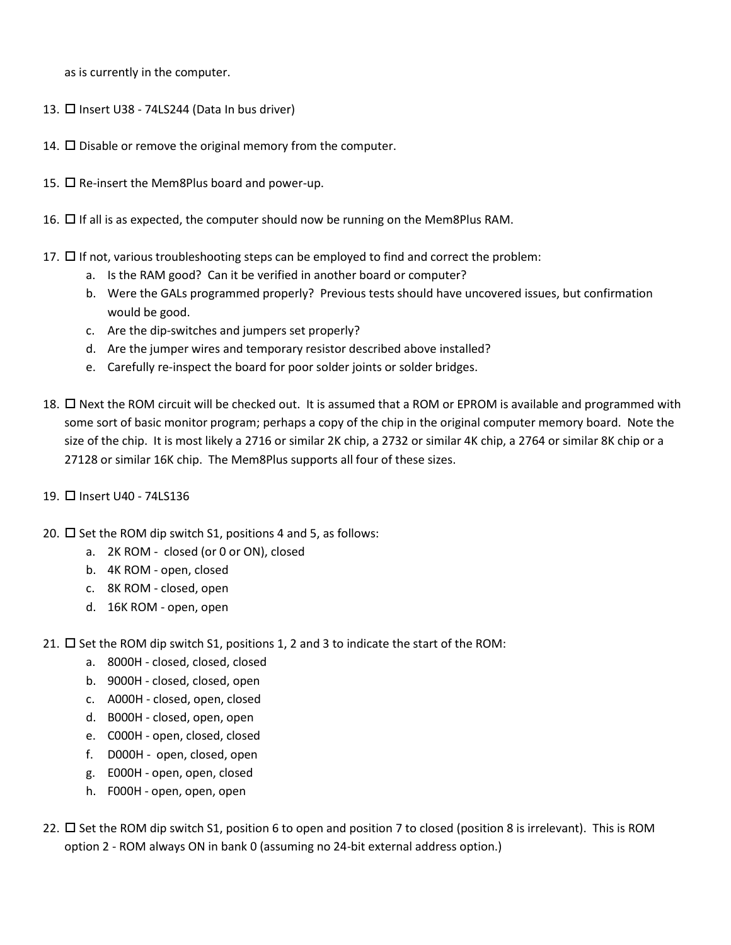as is currently in the computer.

- 13.  $\Box$  Insert U38 74LS244 (Data In bus driver)
- 14.  $\square$  Disable or remove the original memory from the computer.
- 15.  $\Box$  Re-insert the Mem8Plus board and power-up.
- 16.  $\Box$  If all is as expected, the computer should now be running on the Mem8Plus RAM.
- 17.  $\Box$  If not, various troubleshooting steps can be employed to find and correct the problem:
	- a. Is the RAM good? Can it be verified in another board or computer?
	- b. Were the GALs programmed properly? Previous tests should have uncovered issues, but confirmation would be good.
	- c. Are the dip-switches and jumpers set properly?
	- d. Are the jumper wires and temporary resistor described above installed?
	- e. Carefully re-inspect the board for poor solder joints or solder bridges.
- 18.  $\Box$  Next the ROM circuit will be checked out. It is assumed that a ROM or EPROM is available and programmed with some sort of basic monitor program; perhaps a copy of the chip in the original computer memory board. Note the size of the chip. It is most likely a 2716 or similar 2K chip, a 2732 or similar 4K chip, a 2764 or similar 8K chip or a 27128 or similar 16K chip. The Mem8Plus supports all four of these sizes.
- 19. **IT Insert U40 74LS136**
- 20.  $\Box$  Set the ROM dip switch S1, positions 4 and 5, as follows:
	- a. 2K ROM closed (or 0 or ON), closed
	- b. 4K ROM open, closed
	- c. 8K ROM closed, open
	- d. 16K ROM open, open

21.  $\Box$  Set the ROM dip switch S1, positions 1, 2 and 3 to indicate the start of the ROM:

- a. 8000H closed, closed, closed
- b. 9000H closed, closed, open
- c. A000H closed, open, closed
- d. B000H closed, open, open
- e. C000H open, closed, closed
- f. D000H open, closed, open
- g. E000H open, open, closed
- h. F000H open, open, open
- 22.  $\Box$  Set the ROM dip switch S1, position 6 to open and position 7 to closed (position 8 is irrelevant). This is ROM option 2 - ROM always ON in bank 0 (assuming no 24-bit external address option.)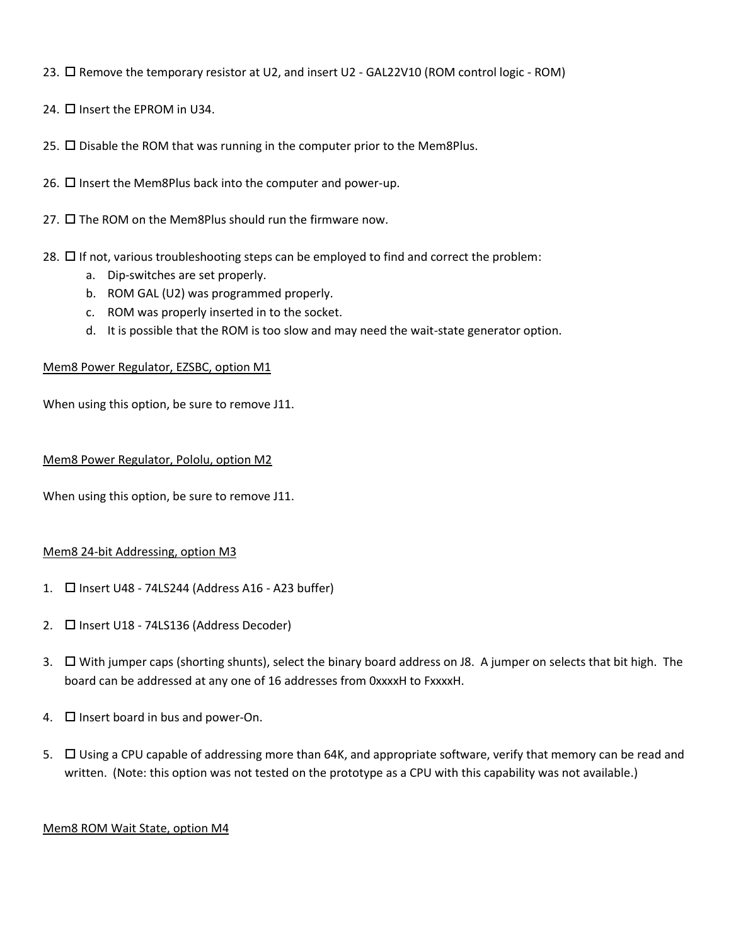23. Remove the temporary resistor at U2, and insert U2 - GAL22V10 (ROM control logic - ROM)

24.  $\Box$  Insert the EPROM in U34.

25.  $\square$  Disable the ROM that was running in the computer prior to the Mem8Plus.

26.  $\Box$  Insert the Mem8Plus back into the computer and power-up.

27.  $\square$  The ROM on the Mem8Plus should run the firmware now.

- 28.  $\Box$  If not, various troubleshooting steps can be employed to find and correct the problem:
	- a. Dip-switches are set properly.
	- b. ROM GAL (U2) was programmed properly.
	- c. ROM was properly inserted in to the socket.
	- d. It is possible that the ROM is too slow and may need the wait-state generator option.

#### Mem8 Power Regulator, EZSBC, option M1

When using this option, be sure to remove J11.

#### Mem8 Power Regulator, Pololu, option M2

When using this option, be sure to remove J11.

#### Mem8 24-bit Addressing, option M3

- 1.  $\Box$  Insert U48 74LS244 (Address A16 A23 buffer)
- 2. □ Insert U18 74LS136 (Address Decoder)
- 3. With jumper caps (shorting shunts), select the binary board address on J8. A jumper on selects that bit high. The board can be addressed at any one of 16 addresses from 0xxxxH to FxxxxH.
- 4.  $\Box$  Insert board in bus and power-On.
- 5.  $\Box$  Using a CPU capable of addressing more than 64K, and appropriate software, verify that memory can be read and written. (Note: this option was not tested on the prototype as a CPU with this capability was not available.)

#### Mem8 ROM Wait State, option M4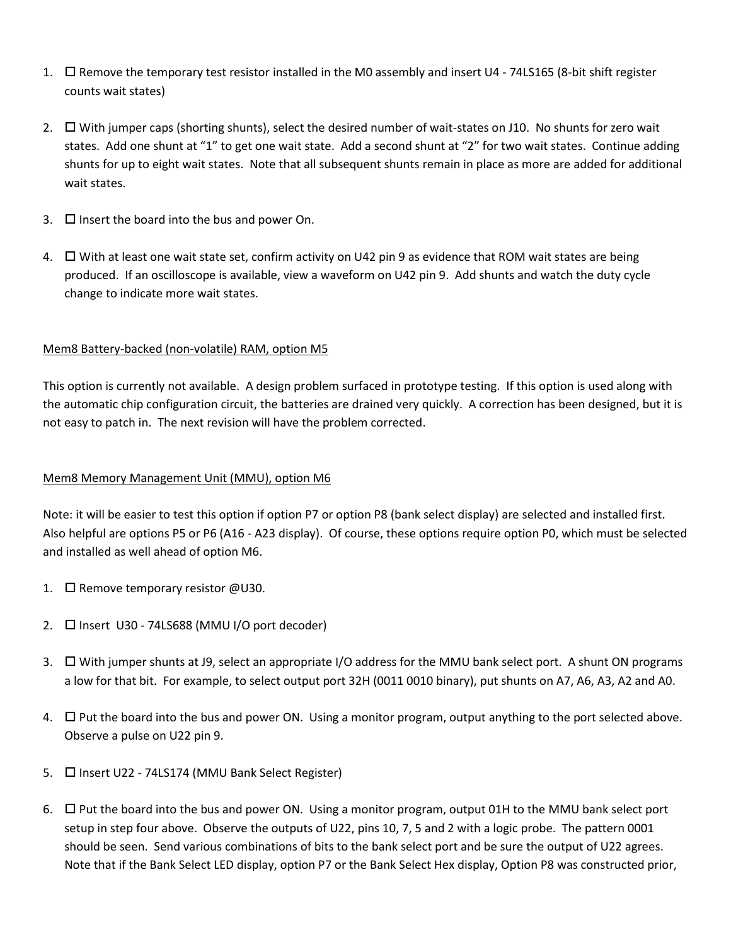- 1.  $\Box$  Remove the temporary test resistor installed in the M0 assembly and insert U4 74LS165 (8-bit shift register counts wait states)
- 2. With jumper caps (shorting shunts), select the desired number of wait-states on J10. No shunts for zero wait states. Add one shunt at "1" to get one wait state. Add a second shunt at "2" for two wait states. Continue adding shunts for up to eight wait states. Note that all subsequent shunts remain in place as more are added for additional wait states.
- 3.  $\Box$  Insert the board into the bus and power On.
- 4.  $\Box$  With at least one wait state set, confirm activity on U42 pin 9 as evidence that ROM wait states are being produced. If an oscilloscope is available, view a waveform on U42 pin 9. Add shunts and watch the duty cycle change to indicate more wait states.

## Mem8 Battery-backed (non-volatile) RAM, option M5

This option is currently not available. A design problem surfaced in prototype testing. If this option is used along with the automatic chip configuration circuit, the batteries are drained very quickly. A correction has been designed, but it is not easy to patch in. The next revision will have the problem corrected.

## Mem8 Memory Management Unit (MMU), option M6

Note: it will be easier to test this option if option P7 or option P8 (bank select display) are selected and installed first. Also helpful are options P5 or P6 (A16 - A23 display). Of course, these options require option P0, which must be selected and installed as well ahead of option M6.

- 1.  $\Box$  Remove temporary resistor @U30.
- 2.  $\Box$  Insert U30 74LS688 (MMU I/O port decoder)
- 3.  $\Box$  With jumper shunts at J9, select an appropriate I/O address for the MMU bank select port. A shunt ON programs a low for that bit. For example, to select output port 32H (0011 0010 binary), put shunts on A7, A6, A3, A2 and A0.
- 4.  $\Box$  Put the board into the bus and power ON. Using a monitor program, output anything to the port selected above. Observe a pulse on U22 pin 9.
- 5.  $\Box$  Insert U22 74LS174 (MMU Bank Select Register)
- 6.  $\Box$  Put the board into the bus and power ON. Using a monitor program, output 01H to the MMU bank select port setup in step four above. Observe the outputs of U22, pins 10, 7, 5 and 2 with a logic probe. The pattern 0001 should be seen. Send various combinations of bits to the bank select port and be sure the output of U22 agrees. Note that if the Bank Select LED display, option P7 or the Bank Select Hex display, Option P8 was constructed prior,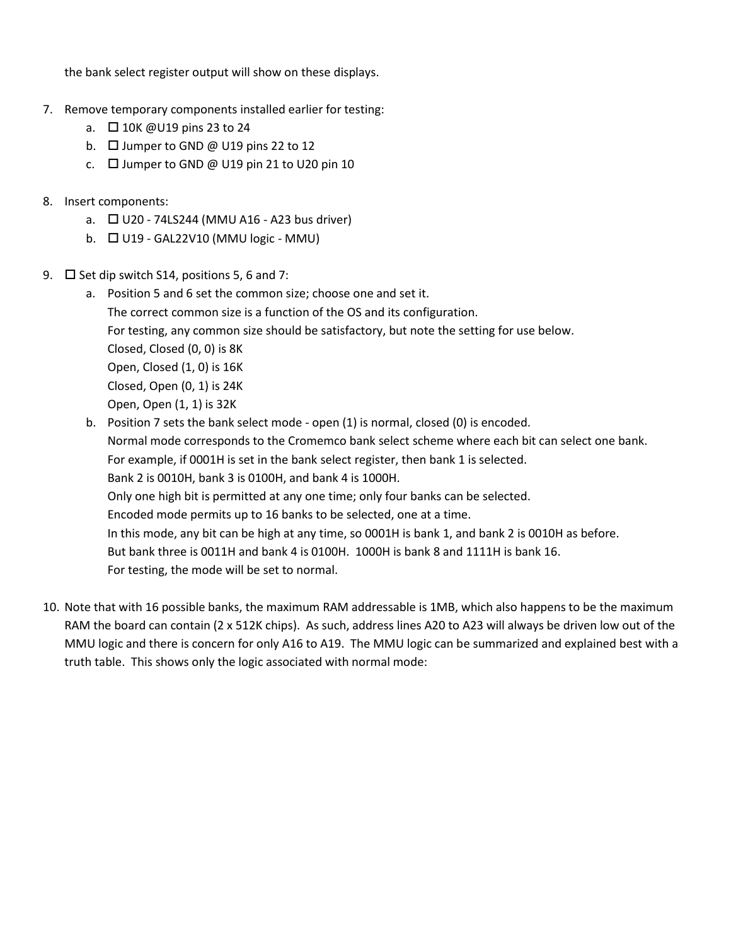the bank select register output will show on these displays.

- 7. Remove temporary components installed earlier for testing:
	- a. □ 10K @U19 pins 23 to 24
	- b.  $\Box$  Jumper to GND @ U19 pins 22 to 12
	- c.  $\Box$  Jumper to GND @ U19 pin 21 to U20 pin 10
- 8. Insert components:
	- a.  $\Box$  U20 74LS244 (MMU A16 A23 bus driver)
	- b.  $\Box$  U19 GAL22V10 (MMU logic MMU)
- 9.  $\Box$  Set dip switch S14, positions 5, 6 and 7:
	- a. Position 5 and 6 set the common size; choose one and set it. The correct common size is a function of the OS and its configuration. For testing, any common size should be satisfactory, but note the setting for use below. Closed, Closed (0, 0) is 8K Open, Closed (1, 0) is 16K Closed, Open (0, 1) is 24K Open, Open (1, 1) is 32K
	- b. Position 7 sets the bank select mode open (1) is normal, closed (0) is encoded. Normal mode corresponds to the Cromemco bank select scheme where each bit can select one bank. For example, if 0001H is set in the bank select register, then bank 1 is selected. Bank 2 is 0010H, bank 3 is 0100H, and bank 4 is 1000H. Only one high bit is permitted at any one time; only four banks can be selected. Encoded mode permits up to 16 banks to be selected, one at a time. In this mode, any bit can be high at any time, so 0001H is bank 1, and bank 2 is 0010H as before. But bank three is 0011H and bank 4 is 0100H. 1000H is bank 8 and 1111H is bank 16. For testing, the mode will be set to normal.
- 10. Note that with 16 possible banks, the maximum RAM addressable is 1MB, which also happens to be the maximum RAM the board can contain (2 x 512K chips). As such, address lines A20 to A23 will always be driven low out of the MMU logic and there is concern for only A16 to A19. The MMU logic can be summarized and explained best with a truth table. This shows only the logic associated with normal mode: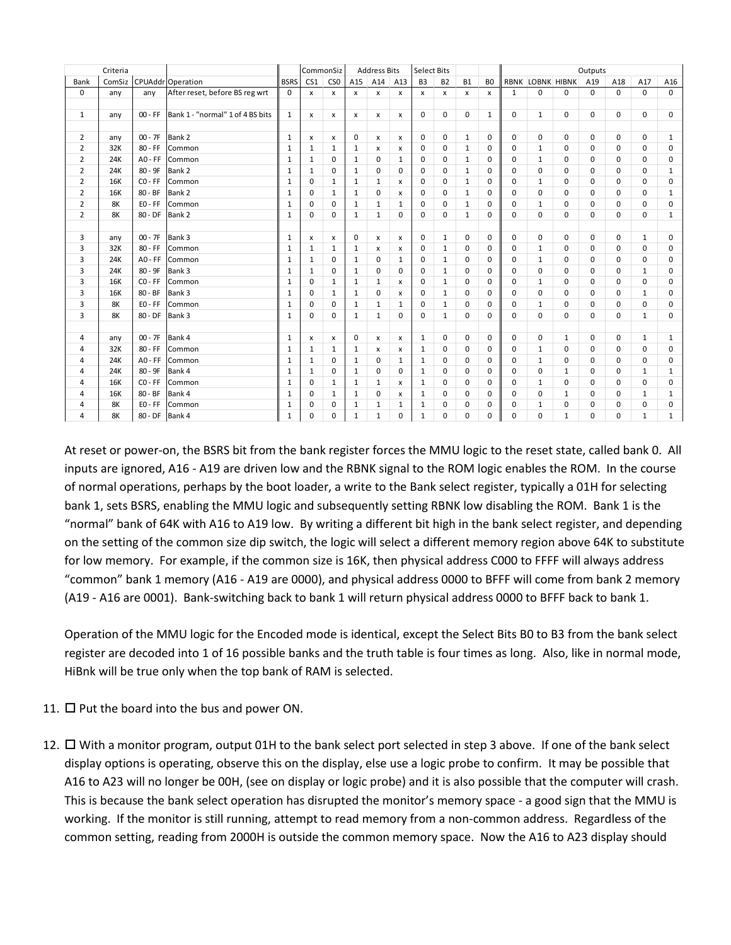| Criteria       |            |                |                                  |              | CommonSiz       |                           | Address Bits |              |                           | <b>Select Bits</b> |              |              | Outputs        |              |                         |              |          |             |              |              |
|----------------|------------|----------------|----------------------------------|--------------|-----------------|---------------------------|--------------|--------------|---------------------------|--------------------|--------------|--------------|----------------|--------------|-------------------------|--------------|----------|-------------|--------------|--------------|
| Bank           | ComSiz     |                | <b>CPUAddr</b> Operation         | <b>BSRS</b>  | CS <sub>1</sub> | CS <sub>0</sub>           | A15          | A14          | A13                       | B <sub>3</sub>     | <b>B2</b>    | <b>B1</b>    | B <sub>0</sub> |              | <b>RBNK LOBNK HIBNK</b> |              | A19      | A18         | A17          | A16          |
| $\mathbf 0$    | any        | any            | After reset, before BS reg wrt   | $\Omega$     | x               | x                         | x            | x            | x                         | x                  | x            | x            | x              | $\mathbf{1}$ | $\mathbf 0$             | 0            | $\Omega$ | $\mathbf 0$ | 0            | $\mathbf 0$  |
|                |            |                |                                  |              |                 |                           |              |              |                           |                    |              |              |                |              |                         |              |          |             |              |              |
| $\mathbf{1}$   | any        | $00 - FF$      | Bank 1 - "normal" 1 of 4 BS bits | $\mathbf{1}$ | X               | $\boldsymbol{\mathsf{x}}$ | $\mathsf{x}$ | $\mathsf{x}$ | $\boldsymbol{\mathsf{x}}$ | $\mathbf 0$        | 0            | $\mathbf 0$  | $\mathbf{1}$   | 0            | $\mathbf{1}$            | $\mathbf 0$  | $\Omega$ | 0           | 0            | 0            |
|                |            |                |                                  |              |                 |                           |              |              |                           |                    |              |              |                |              |                         |              |          |             |              |              |
| 2              | any        | $00 - 7F$      | Bank 2                           | $\mathbf{1}$ | $\mathsf{x}$    | $\mathsf{x}$              | $\Omega$     | $\mathsf{x}$ | $\mathsf{x}$              | $\Omega$           | 0            | $\mathbf{1}$ | $\Omega$       | $\Omega$     | $\Omega$                | $\Omega$     | $\Omega$ | $\Omega$    | 0            | $\mathbf{1}$ |
| $\overline{2}$ | 32K        | $80 - FF$      | Common                           | $\mathbf{1}$ | $\mathbf{1}$    | $\mathbf{1}$              | $\mathbf{1}$ | $\mathsf{x}$ | x                         | $\Omega$           | $\Omega$     | $\mathbf{1}$ | $\Omega$       | $\Omega$     | $\mathbf{1}$            | $\Omega$     | $\Omega$ | $\Omega$    | $\Omega$     | $\Omega$     |
| $\overline{2}$ | 24K        | $AO - FF$      | Common                           | $\mathbf{1}$ | $\mathbf{1}$    | $\Omega$                  | $\mathbf{1}$ | $\Omega$     | 1                         | 0                  | 0            | $\mathbf{1}$ | $\mathbf 0$    | 0            | $\mathbf{1}$            | 0            | $\Omega$ | 0           | 0            | 0            |
| $\overline{2}$ | 24K        | 80 - 9F        | Bank 2                           | $\mathbf{1}$ | $\mathbf{1}$    | $\mathbf 0$               | $\mathbf{1}$ | $\mathbf 0$  | $\mathbf 0$               | $\Omega$           | 0            | $\mathbf{1}$ | $\mathbf 0$    | 0            | $\Omega$                | 0            | $\Omega$ | $\Omega$    | 0            | $\mathbf{1}$ |
| $\overline{2}$ | <b>16K</b> | $CO - FF$      | Common                           | 1            | $\mathbf 0$     | $\mathbf{1}$              | $\mathbf{1}$ | $\mathbf{1}$ | $\mathsf{x}$              | 0                  | 0            | $\mathbf{1}$ | 0              | 0            | $\mathbf{1}$            | 0            | 0        | $\mathbf 0$ | 0            | 0            |
| $\overline{2}$ | <b>16K</b> | $80 - BF$      | Bank 2                           | $\mathbf{1}$ | $\Omega$        | $\mathbf{1}$              | $\mathbf{1}$ | $\mathbf 0$  | $\boldsymbol{\mathsf{x}}$ | $\Omega$           | $\Omega$     | $\mathbf{1}$ | $\Omega$       | $\Omega$     | $\Omega$                | $\Omega$     | $\Omega$ | $\Omega$    | $\Omega$     | $\mathbf{1}$ |
| $\overline{2}$ | 8K         | $E0 - FF$      | Common                           | 1            | $\Omega$        | $\Omega$                  | $\mathbf{1}$ | $\mathbf{1}$ | $\mathbf{1}$              | $\Omega$           | $\Omega$     | $\mathbf{1}$ | $\Omega$       | $\mathbf 0$  | $\mathbf{1}$            | $\Omega$     | $\Omega$ | $\Omega$    | $\Omega$     | $\Omega$     |
| $\overline{2}$ | 8K         | $80 - DF$      | Bank 2                           | $\mathbf{1}$ | 0               | $\Omega$                  | $\mathbf{1}$ | $\mathbf{1}$ | $\Omega$                  | $\Omega$           | 0            | $\mathbf{1}$ | $\Omega$       | $\Omega$     | $\Omega$                | 0            | $\Omega$ | $\Omega$    | 0            | $\mathbf{1}$ |
|                |            |                |                                  |              |                 |                           |              |              |                           |                    |              |              |                |              |                         |              |          |             |              |              |
| 3              | any        | $00 - 7F$      | Bank 3                           | $\mathbf{1}$ | x               | $\boldsymbol{\mathsf{x}}$ | $\Omega$     | x            | $\boldsymbol{\mathsf{x}}$ | $\mathbf 0$        | $\mathbf{1}$ | $\Omega$     | $\mathbf 0$    | $\mathbf 0$  | $\Omega$                | $\Omega$     | $\Omega$ | $\Omega$    | $\mathbf{1}$ | $\Omega$     |
| 3              | 32K        | $80 - FF$      | Common                           | 1            | $\mathbf{1}$    | $\mathbf{1}$              | $\mathbf{1}$ | $\mathsf{x}$ | X                         | 0                  | $\mathbf{1}$ | 0            | 0              | 0            | $\mathbf{1}$            | 0            | 0        | $\mathbf 0$ | 0            | 0            |
| 3              | 24K        | $AO - FF$      | Common                           | 1            | $\mathbf{1}$    | $\Omega$                  | $\mathbf{1}$ | $\Omega$     | $\mathbf{1}$              | $\Omega$           | $\mathbf{1}$ | 0            | 0              | 0            | $\mathbf{1}$            | $\Omega$     | $\Omega$ | $\Omega$    | 0            | $\Omega$     |
| 3              | 24K        | $80 - 9F$      | Bank 3                           | 1            | $\mathbf{1}$    | $\Omega$                  | $\mathbf{1}$ | $\Omega$     | $\Omega$                  | $\Omega$           | $\mathbf{1}$ | $\Omega$     | $\mathbf 0$    | $\Omega$     | $\Omega$                | $\Omega$     | $\Omega$ | $\Omega$    | $\mathbf{1}$ | $\Omega$     |
| 3              | <b>16K</b> | $CO - FF$      | Common                           | $\mathbf{1}$ | 0               | $\mathbf{1}$              | $\mathbf{1}$ | $\mathbf{1}$ | x                         | $\Omega$           | $\mathbf{1}$ | $\Omega$     | 0              | 0            | $\mathbf{1}$            | $\Omega$     | $\Omega$ | $\Omega$    | 0            | 0            |
| 3              | 16K        | $80 - BF$      | Bank 3                           | $\mathbf{1}$ | $\Omega$        | $\mathbf{1}$              | $\mathbf{1}$ | $\mathbf 0$  | $\pmb{\times}$            | $\Omega$           | $\mathbf{1}$ | 0            | $\Omega$       | $\Omega$     | $\Omega$                | $\Omega$     | $\Omega$ | $\Omega$    | $\mathbf{1}$ | $\Omega$     |
| 3              | 8K         | $E0 - FF$      | Common                           | $\mathbf{1}$ | $\Omega$        | $\Omega$                  | $\mathbf{1}$ | $\mathbf{1}$ | $\mathbf{1}$              | $\Omega$           | $\mathbf{1}$ | 0            | $\mathbf 0$    | 0            | $\mathbf{1}$            | 0            | $\Omega$ | 0           | 0            | 0            |
| 3              | 8K         | $80 - DF$      | Bank 3                           | $\mathbf{1}$ | 0               | 0                         | $\mathbf{1}$ | $\mathbf{1}$ | $\mathbf 0$               | 0                  | $\mathbf{1}$ | 0            | $\mathbf 0$    | $\mathbf 0$  | $\Omega$                | 0            | 0        | 0           | $\mathbf{1}$ | 0            |
|                |            |                |                                  |              |                 |                           |              |              |                           |                    |              |              |                |              |                         |              |          |             |              |              |
| 4              | any        | $00 - 7F$      | Bank 4                           | $\mathbf{1}$ | X               | $\mathsf{x}$              | $\Omega$     | $\mathsf{x}$ | $\boldsymbol{\mathsf{x}}$ | $\mathbf{1}$       | 0            | 0            | $\mathbf 0$    | $\mathbf 0$  | $\mathbf 0$             | $\mathbf{1}$ | 0        | 0           | $\mathbf{1}$ | $\mathbf{1}$ |
| 4              | 32K        | $80 - FF$      | Common                           | $\mathbf{1}$ | $\mathbf{1}$    | $\mathbf{1}$              | $\mathbf{1}$ | $\mathsf{x}$ | $\mathsf{x}$              | $\mathbf{1}$       | 0            | 0            | $\mathbf 0$    | $\mathbf 0$  | $\mathbf{1}$            | 0            | $\Omega$ | $\Omega$    | $\Omega$     | 0            |
| 4              | 24K        | $AO - FF$      | Common                           | 1            | $\mathbf{1}$    | $\mathbf 0$               | $\mathbf{1}$ | $\mathbf 0$  | $\mathbf{1}$              | $\mathbf{1}$       | 0            | 0            | 0              | 0            | $\mathbf{1}$            | 0            | 0        | 0           | 0            | 0            |
| 4              | 24K        | $80 - 9F$      | Bank 4                           | $\mathbf{1}$ | $\mathbf{1}$    | $\mathbf 0$               | $\mathbf{1}$ | $\mathbf 0$  | $\mathbf 0$               | $\mathbf{1}$       | 0            | 0            | $\mathbf 0$    | 0            | $\Omega$                | $\mathbf{1}$ | 0        | 0           | $\mathbf{1}$ | $\mathbf{1}$ |
| 4              | <b>16K</b> | $CO - FF$      | Common                           | $\mathbf{1}$ | $\mathbf 0$     | $\mathbf{1}$              | $\mathbf{1}$ | $\mathbf{1}$ | $\boldsymbol{\mathsf{x}}$ | $\mathbf{1}$       | 0            | 0            | $\mathbf 0$    | 0            | $\mathbf{1}$            | $\mathbf 0$  | $\Omega$ | $\Omega$    | 0            | 0            |
| 4              | <b>16K</b> | 80 - BF        | Bank 4                           | 1            | 0               | $\mathbf{1}$              | $\mathbf{1}$ | 0            | x                         | $\mathbf{1}$       | 0            | 0            | 0              | 0            | $\Omega$                | $\mathbf{1}$ | $\Omega$ | 0           | $\mathbf{1}$ | $\mathbf{1}$ |
| 4              | 8K         | $E0 - FF$      | Common                           | $\mathbf{1}$ | $\mathbf 0$     | 0                         | $\mathbf{1}$ | $\mathbf{1}$ | $\mathbf{1}$              | $\mathbf{1}$       | 0            | 0            | 0              | 0            | $\mathbf{1}$            | 0            | 0        | 0           | 0            | 0            |
| 4              | 8K         | 80 - DF Bank 4 |                                  | $\mathbf{1}$ | 0               | $\Omega$                  | $\mathbf{1}$ | $\mathbf{1}$ | $\Omega$                  | 1                  | 0            | $\Omega$     | $\mathbf 0$    | 0            | $\Omega$                | $\mathbf{1}$ | $\Omega$ | $\Omega$    | $\mathbf{1}$ | $\mathbf{1}$ |

At reset or power-on, the BSRS bit from the bank register forces the MMU logic to the reset state, called bank 0. All inputs are ignored, A16 - A19 are driven low and the RBNK signal to the ROM logic enables the ROM. In the course of normal operations, perhaps by the boot loader, a write to the Bank select register, typically a 01H for selecting bank 1, sets BSRS, enabling the MMU logic and subsequently setting RBNK low disabling the ROM. Bank 1 is the "normal" bank of 64K with A16 to A19 low. By writing a different bit high in the bank select register, and depending on the setting of the common size dip switch, the logic will select a different memory region above 64K to substitute for low memory. For example, if the common size is 16K, then physical address C000 to FFFF will always address "common" bank 1 memory (A16 - A19 are 0000), and physical address 0000 to BFFF will come from bank 2 memory (A19 - A16 are 0001). Bank-switching back to bank 1 will return physical address 0000 to BFFF back to bank 1.

Operation of the MMU logic for the Encoded mode is identical, except the Select Bits B0 to B3 from the bank select register are decoded into 1 of 16 possible banks and the truth table is four times as long. Also, like in normal mode, HiBnk will be true only when the top bank of RAM is selected.

- 11.  $\Box$  Put the board into the bus and power ON.
- 12.  $\Box$  With a monitor program, output 01H to the bank select port selected in step 3 above. If one of the bank select display options is operating, observe this on the display, else use a logic probe to confirm. It may be possible that A16 to A23 will no longer be 00H, (see on display or logic probe) and it is also possible that the computer will crash. This is because the bank select operation has disrupted the monitor's memory space - a good sign that the MMU is working. If the monitor is still running, attempt to read memory from a non-common address. Regardless of the common setting, reading from 2000H is outside the common memory space. Now the A16 to A23 display should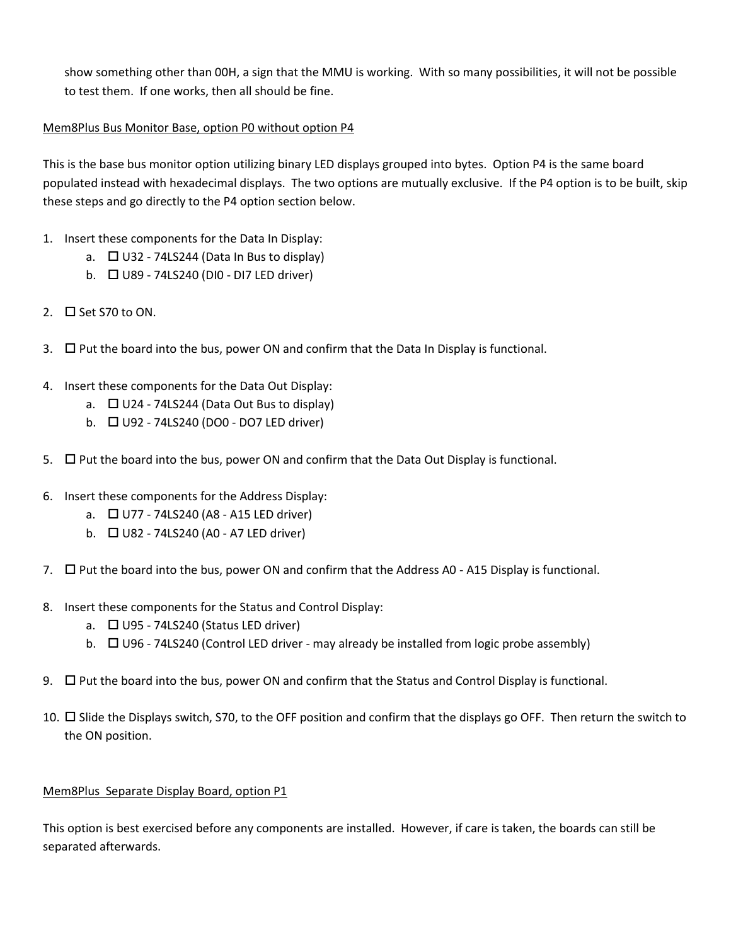show something other than 00H, a sign that the MMU is working. With so many possibilities, it will not be possible to test them. If one works, then all should be fine.

## Mem8Plus Bus Monitor Base, option P0 without option P4

This is the base bus monitor option utilizing binary LED displays grouped into bytes. Option P4 is the same board populated instead with hexadecimal displays. The two options are mutually exclusive. If the P4 option is to be built, skip these steps and go directly to the P4 option section below.

- 1. Insert these components for the Data In Display:
	- a.  $\Box$  U32 74LS244 (Data In Bus to display)
	- b.  $\Box$  U89 74LS240 (DI0 DI7 LED driver)
- 2.  $\Box$  Set S70 to ON.
- 3.  $\Box$  Put the board into the bus, power ON and confirm that the Data In Display is functional.
- 4. Insert these components for the Data Out Display:
	- a.  $\Box$  U24 74LS244 (Data Out Bus to display)
	- b.  $\Box$  U92 74LS240 (DO0 DO7 LED driver)
- 5.  $\Box$  Put the board into the bus, power ON and confirm that the Data Out Display is functional.
- 6. Insert these components for the Address Display:
	- a.  $\Box$  U77 74LS240 (A8 A15 LED driver)
	- b.  $\Box$  U82 74LS240 (A0 A7 LED driver)
- 7.  $\Box$  Put the board into the bus, power ON and confirm that the Address A0 A15 Display is functional.
- 8. Insert these components for the Status and Control Display:
	- a.  $\Box$  U95 74LS240 (Status LED driver)
	- b.  $\Box$  U96 74LS240 (Control LED driver may already be installed from logic probe assembly)
- 9.  $\Box$  Put the board into the bus, power ON and confirm that the Status and Control Display is functional.
- 10.  $\Box$  Slide the Displays switch, S70, to the OFF position and confirm that the displays go OFF. Then return the switch to the ON position.

#### Mem8Plus Separate Display Board, option P1

This option is best exercised before any components are installed. However, if care is taken, the boards can still be separated afterwards.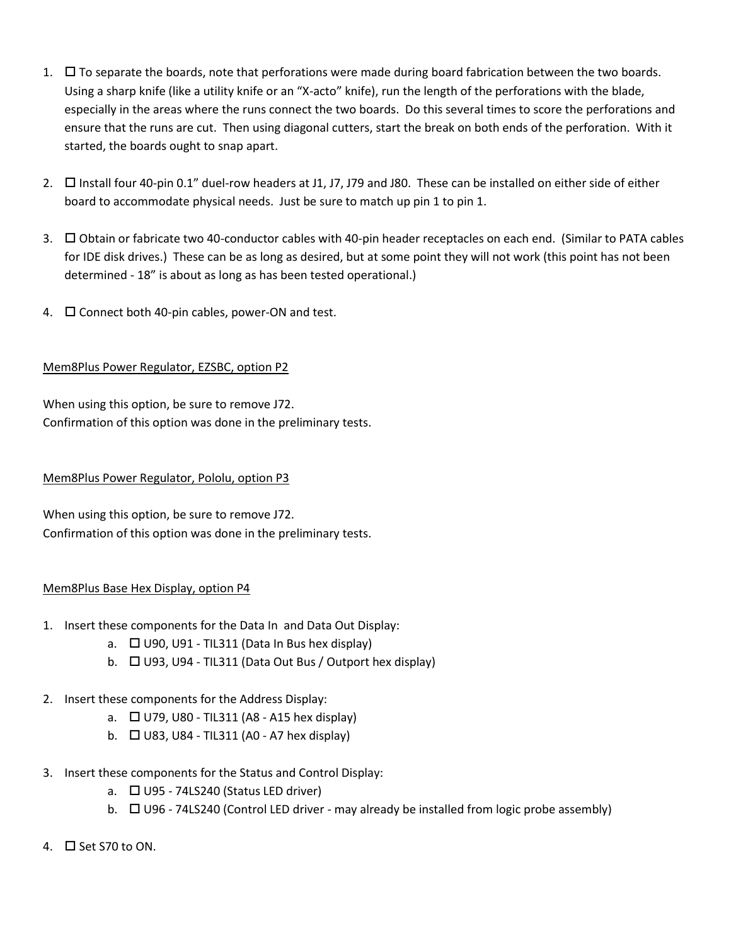- 1.  $\Box$  To separate the boards, note that perforations were made during board fabrication between the two boards. Using a sharp knife (like a utility knife or an "X-acto" knife), run the length of the perforations with the blade, especially in the areas where the runs connect the two boards. Do this several times to score the perforations and ensure that the runs are cut. Then using diagonal cutters, start the break on both ends of the perforation. With it started, the boards ought to snap apart.
- 2.  $\Box$  Install four 40-pin 0.1" duel-row headers at J1, J7, J79 and J80. These can be installed on either side of either board to accommodate physical needs. Just be sure to match up pin 1 to pin 1.
- 3. Obtain or fabricate two 40-conductor cables with 40-pin header receptacles on each end. (Similar to PATA cables for IDE disk drives.) These can be as long as desired, but at some point they will not work (this point has not been determined - 18" is about as long as has been tested operational.)
- 4.  $\Box$  Connect both 40-pin cables, power-ON and test.

# Mem8Plus Power Regulator, EZSBC, option P2

When using this option, be sure to remove J72. Confirmation of this option was done in the preliminary tests.

## Mem8Plus Power Regulator, Pololu, option P3

When using this option, be sure to remove J72. Confirmation of this option was done in the preliminary tests.

## Mem8Plus Base Hex Display, option P4

- 1. Insert these components for the Data In and Data Out Display:
	- a.  $\Box$  U90, U91 TIL311 (Data In Bus hex display)
	- b.  $\Box$  U93, U94 TIL311 (Data Out Bus / Outport hex display)
- 2. Insert these components for the Address Display:
	- a.  $\Box$  U79, U80 TIL311 (A8 A15 hex display)
	- b.  $\Box$  U83, U84 TIL311 (A0 A7 hex display)
- 3. Insert these components for the Status and Control Display:
	- a.  $\Box$  U95 74LS240 (Status LED driver)
	- b.  $\Box$  U96 74LS240 (Control LED driver may already be installed from logic probe assembly)
- 4.  $\Box$  Set S70 to ON.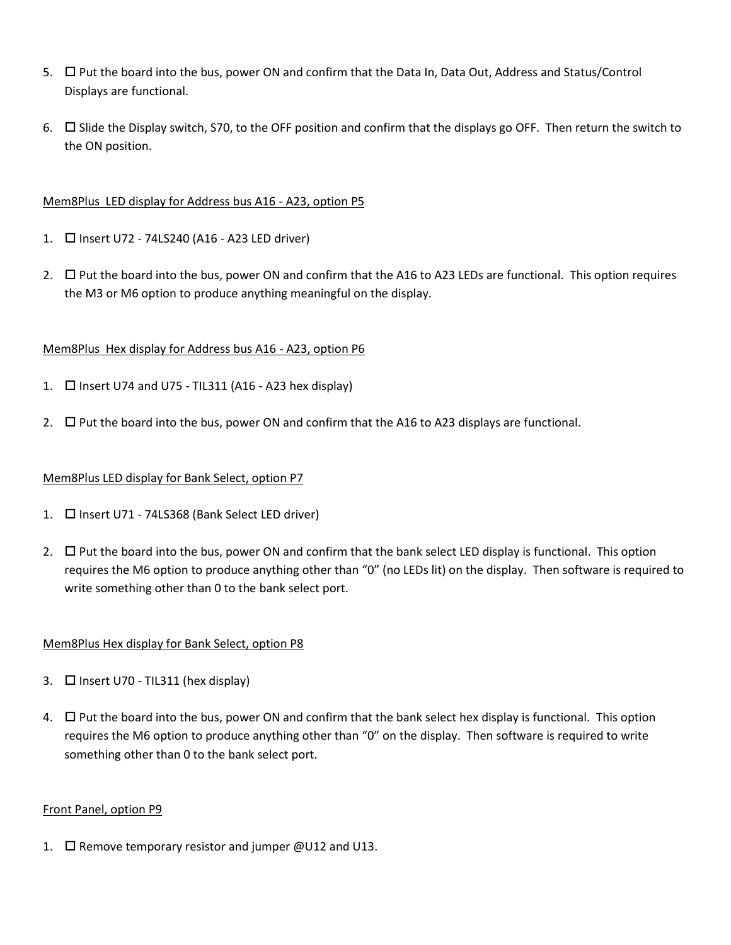- 5.  $\Box$  Put the board into the bus, power ON and confirm that the Data In, Data Out, Address and Status/Control Displays are functional.
- 6.  $\Box$  Slide the Display switch, S70, to the OFF position and confirm that the displays go OFF. Then return the switch to the ON position.

### Mem8Plus LED display for Address bus A16 - A23, option P5

- 1. □ Insert U72 74LS240 (A16 A23 LED driver)
- 2.  $\Box$  Put the board into the bus, power ON and confirm that the A16 to A23 LEDs are functional. This option requires the M3 or M6 option to produce anything meaningful on the display.

### Mem8Plus Hex display for Address bus A16 - A23, option P6

- 1.  $\Box$  Insert U74 and U75 TIL311 (A16 A23 hex display)
- 2.  $\Box$  Put the board into the bus, power ON and confirm that the A16 to A23 displays are functional.

#### Mem8Plus LED display for Bank Select, option P7

- 1. **I** Insert U71 74LS368 (Bank Select LED driver)
- 2.  $\Box$  Put the board into the bus, power ON and confirm that the bank select LED display is functional. This option requires the M6 option to produce anything other than "0" (no LEDs lit) on the display. Then software is required to write something other than 0 to the bank select port.

## Mem8Plus Hex display for Bank Select, option P8

- 3.  $\Box$  Insert U70 TIL311 (hex display)
- $4.$   $\Box$  Put the board into the bus, power ON and confirm that the bank select hex display is functional. This option requires the M6 option to produce anything other than "0" on the display. Then software is required to write something other than 0 to the bank select port.

#### Front Panel, option P9

1.  $\Box$  Remove temporary resistor and jumper @U12 and U13.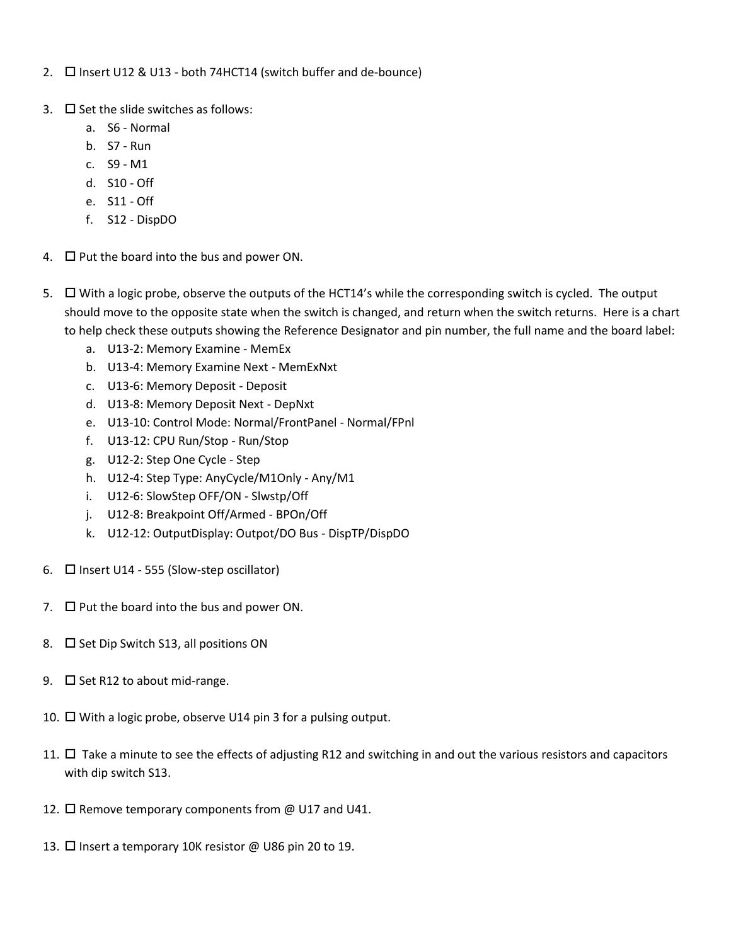- 2.  $\Box$  Insert U12 & U13 both 74HCT14 (switch buffer and de-bounce)
- 3.  $\Box$  Set the slide switches as follows:
	- a. S6 Normal
	- b. S7 Run
	- c. S9 M1
	- d. S10 Off
	- e. S11 Off
	- f. S12 DispDO
- 4.  $\Box$  Put the board into the bus and power ON.
- 5.  $\Box$  With a logic probe, observe the outputs of the HCT14's while the corresponding switch is cycled. The output should move to the opposite state when the switch is changed, and return when the switch returns. Here is a chart to help check these outputs showing the Reference Designator and pin number, the full name and the board label:
	- a. U13-2: Memory Examine MemEx
	- b. U13-4: Memory Examine Next MemExNxt
	- c. U13-6: Memory Deposit Deposit
	- d. U13-8: Memory Deposit Next DepNxt
	- e. U13-10: Control Mode: Normal/FrontPanel Normal/FPnl
	- f. U13-12: CPU Run/Stop Run/Stop
	- g. U12-2: Step One Cycle Step
	- h. U12-4: Step Type: AnyCycle/M1Only Any/M1
	- i. U12-6: SlowStep OFF/ON Slwstp/Off
	- j. U12-8: Breakpoint Off/Armed BPOn/Off
	- k. U12-12: OutputDisplay: Outpot/DO Bus DispTP/DispDO
- 6.  $\Box$  Insert U14 555 (Slow-step oscillator)
- 7.  $\Box$  Put the board into the bus and power ON.
- 8.  $\Box$  Set Dip Switch S13, all positions ON
- 9.  $\Box$  Set R12 to about mid-range.
- 10.  $\Box$  With a logic probe, observe U14 pin 3 for a pulsing output.
- 11.  $\Box$  Take a minute to see the effects of adjusting R12 and switching in and out the various resistors and capacitors with dip switch S13.
- 12.  $\Box$  Remove temporary components from @ U17 and U41.
- 13. □ Insert a temporary 10K resistor @ U86 pin 20 to 19.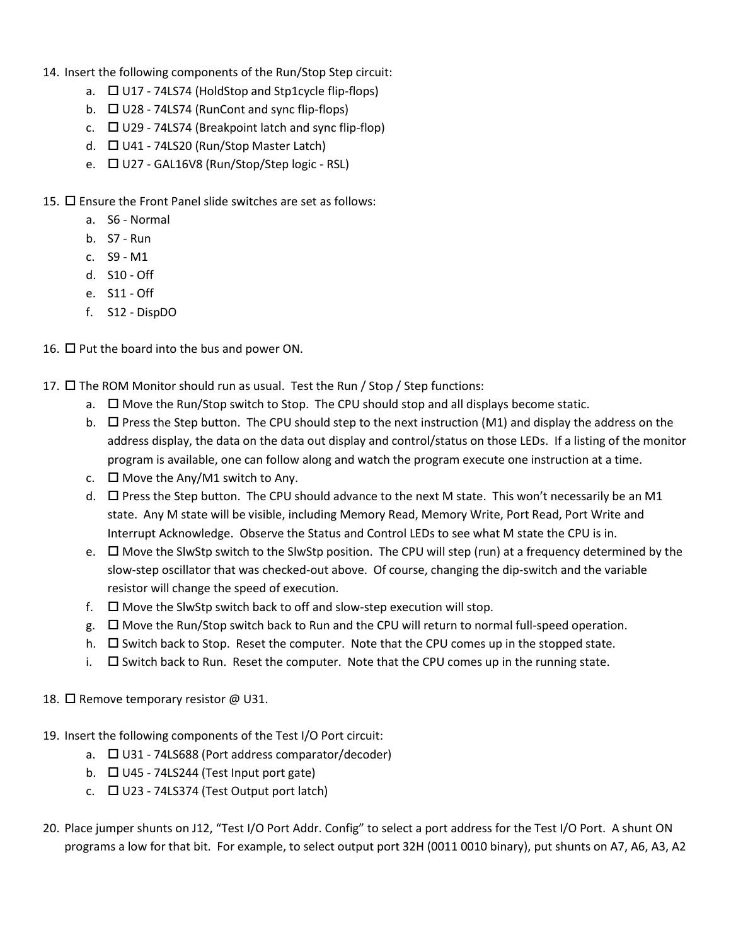- 14. Insert the following components of the Run/Stop Step circuit:
	- a.  $\Box$  U17 74LS74 (HoldStop and Stp1cycle flip-flops)
	- b.  $\Box$  U28 74LS74 (RunCont and sync flip-flops)
	- c.  $\Box$  U29 74LS74 (Breakpoint latch and sync flip-flop)
	- d.  $\Box$  U41 74LS20 (Run/Stop Master Latch)
	- e.  $\Box$  U27 GAL16V8 (Run/Stop/Step logic RSL)
- 15.  $\Box$  Ensure the Front Panel slide switches are set as follows:
	- a. S6 Normal
	- b. S7 Run
	- c. S9 M1
	- d. S10 Off
	- e. S11 Off
	- f. S12 DispDO
- 16.  $\Box$  Put the board into the bus and power ON.
- 17.  $\square$  The ROM Monitor should run as usual. Test the Run / Stop / Step functions:
	- a.  $\Box$  Move the Run/Stop switch to Stop. The CPU should stop and all displays become static.
	- b.  $\Box$  Press the Step button. The CPU should step to the next instruction (M1) and display the address on the address display, the data on the data out display and control/status on those LEDs. If a listing of the monitor program is available, one can follow along and watch the program execute one instruction at a time.
	- c.  $\Box$  Move the Any/M1 switch to Any.
	- d.  $\Box$  Press the Step button. The CPU should advance to the next M state. This won't necessarily be an M1 state. Any M state will be visible, including Memory Read, Memory Write, Port Read, Port Write and Interrupt Acknowledge. Observe the Status and Control LEDs to see what M state the CPU is in.
	- e. □ Move the SlwStp switch to the SlwStp position. The CPU will step (run) at a frequency determined by the slow-step oscillator that was checked-out above. Of course, changing the dip-switch and the variable resistor will change the speed of execution.
	- f.  $\Box$  Move the SlwStp switch back to off and slow-step execution will stop.
	- $g.$   $\Box$  Move the Run/Stop switch back to Run and the CPU will return to normal full-speed operation.
	- h.  $\Box$  Switch back to Stop. Reset the computer. Note that the CPU comes up in the stopped state.
	- i.  $\square$  Switch back to Run. Reset the computer. Note that the CPU comes up in the running state.
- 18.  $\Box$  Remove temporary resistor @ U31.
- 19. Insert the following components of the Test I/O Port circuit:
	- a.  $\Box$  U31 74LS688 (Port address comparator/decoder)
	- b.  $\Box$  U45 74LS244 (Test Input port gate)
	- c.  $\Box$  U23 74LS374 (Test Output port latch)
- 20. Place jumper shunts on J12, "Test I/O Port Addr. Config" to select a port address for the Test I/O Port. A shunt ON programs a low for that bit. For example, to select output port 32H (0011 0010 binary), put shunts on A7, A6, A3, A2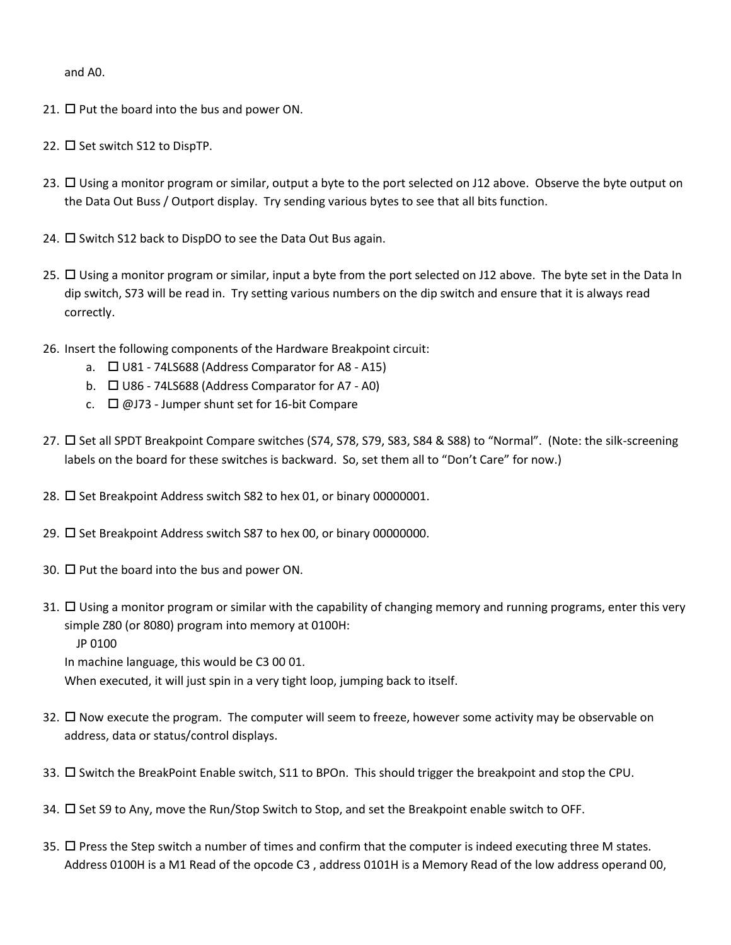and A0.

- 21.  $\Box$  Put the board into the bus and power ON.
- 22.  $\Box$  Set switch S12 to DispTP.
- 23.  $\Box$  Using a monitor program or similar, output a byte to the port selected on J12 above. Observe the byte output on the Data Out Buss / Outport display. Try sending various bytes to see that all bits function.
- 24.  $\Box$  Switch S12 back to DispDO to see the Data Out Bus again.
- 25. Using a monitor program or similar, input a byte from the port selected on J12 above. The byte set in the Data In dip switch, S73 will be read in. Try setting various numbers on the dip switch and ensure that it is always read correctly.
- 26. Insert the following components of the Hardware Breakpoint circuit:
	- a.  $\Box$  U81 74LS688 (Address Comparator for A8 A15)
	- b.  $\Box$  U86 74LS688 (Address Comparator for A7 A0)
	- c.  $\Box$  @J73 Jumper shunt set for 16-bit Compare
- 27. □ Set all SPDT Breakpoint Compare switches (S74, S78, S79, S83, S84 & S88) to "Normal". (Note: the silk-screening labels on the board for these switches is backward. So, set them all to "Don't Care" for now.)
- 28.  $\Box$  Set Breakpoint Address switch S82 to hex 01, or binary 00000001.
- 29.  $\Box$  Set Breakpoint Address switch S87 to hex 00, or binary 00000000.
- 30.  $\Box$  Put the board into the bus and power ON.
- 31.  $\Box$  Using a monitor program or similar with the capability of changing memory and running programs, enter this very simple Z80 (or 8080) program into memory at 0100H: JP 0100

In machine language, this would be C3 00 01.

When executed, it will just spin in a very tight loop, jumping back to itself.

- 32.  $\Box$  Now execute the program. The computer will seem to freeze, however some activity may be observable on address, data or status/control displays.
- 33.  $\Box$  Switch the BreakPoint Enable switch, S11 to BPOn. This should trigger the breakpoint and stop the CPU.
- 34.  $\Box$  Set S9 to Any, move the Run/Stop Switch to Stop, and set the Breakpoint enable switch to OFF.
- 35.  $\Box$  Press the Step switch a number of times and confirm that the computer is indeed executing three M states. Address 0100H is a M1 Read of the opcode C3 , address 0101H is a Memory Read of the low address operand 00,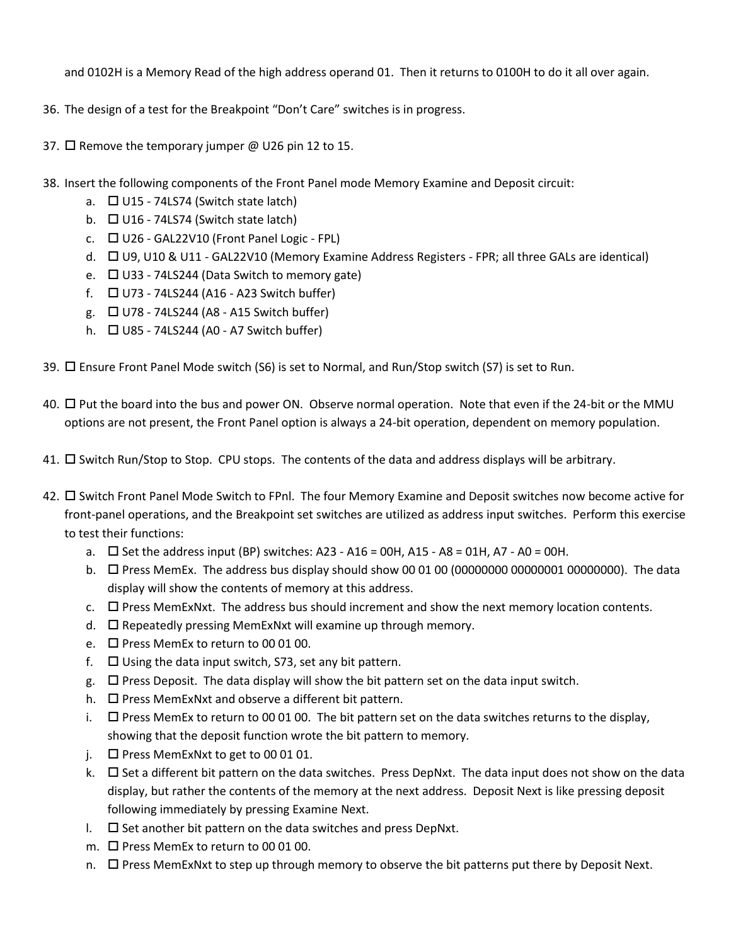and 0102H is a Memory Read of the high address operand 01. Then it returns to 0100H to do it all over again.

- 36. The design of a test for the Breakpoint "Don't Care" switches is in progress.
- 37.  $\Box$  Remove the temporary jumper @ U26 pin 12 to 15.
- 38. Insert the following components of the Front Panel mode Memory Examine and Deposit circuit:
	- a.  $\Box$  U15 74LS74 (Switch state latch)
	- b.  $\Box$  U16 74LS74 (Switch state latch)
	- c.  $\Box$  U26 GAL22V10 (Front Panel Logic FPL)
	- d. □ U9, U10 & U11 GAL22V10 (Memory Examine Address Registers FPR; all three GALs are identical)
	- e.  $\Box$  U33 74LS244 (Data Switch to memory gate)
	- f.  $\Box$  U73 74LS244 (A16 A23 Switch buffer)
	- g.  $\Box$  U78 74LS244 (A8 A15 Switch buffer)
	- h.  $\Box$  U85 74LS244 (A0 A7 Switch buffer)
- 39. Ensure Front Panel Mode switch (S6) is set to Normal, and Run/Stop switch (S7) is set to Run.
- 40. Put the board into the bus and power ON. Observe normal operation. Note that even if the 24-bit or the MMU options are not present, the Front Panel option is always a 24-bit operation, dependent on memory population.
- 41.  $\Box$  Switch Run/Stop to Stop. CPU stops. The contents of the data and address displays will be arbitrary.
- 42.  $\Box$  Switch Front Panel Mode Switch to FPnl. The four Memory Examine and Deposit switches now become active for front-panel operations, and the Breakpoint set switches are utilized as address input switches. Perform this exercise to test their functions:
	- a.  $\square$  Set the address input (BP) switches: A23 A16 = 00H, A15 A8 = 01H, A7 A0 = 00H.
	- b.  $\Box$  Press MemEx. The address bus display should show 00 01 00 (00000000 00000001 00000000). The data display will show the contents of memory at this address.
	- $c.$   $\square$  Press MemExNxt. The address bus should increment and show the next memory location contents.
	- d.  $\square$  Repeatedly pressing MemExNxt will examine up through memory.
	- e.  $\Box$  Press MemEx to return to 00 01 00.
	- f.  $\Box$  Using the data input switch, S73, set any bit pattern.
	- $g.$   $\square$  Press Deposit. The data display will show the bit pattern set on the data input switch.
	- h.  $\Box$  Press MemExNxt and observe a different bit pattern.
	- i.  $\Box$  Press MemEx to return to 00 01 00. The bit pattern set on the data switches returns to the display, showing that the deposit function wrote the bit pattern to memory.
	- j.  $\Box$  Press MemExNxt to get to 00 01 01.
	- k.  $\square$  Set a different bit pattern on the data switches. Press DepNxt. The data input does not show on the data display, but rather the contents of the memory at the next address. Deposit Next is like pressing deposit following immediately by pressing Examine Next.
	- $\Box$  Set another bit pattern on the data switches and press DepNxt.
	- m.  $\Box$  Press MemEx to return to 00 01 00.
	- n.  $\Box$  Press MemExNxt to step up through memory to observe the bit patterns put there by Deposit Next.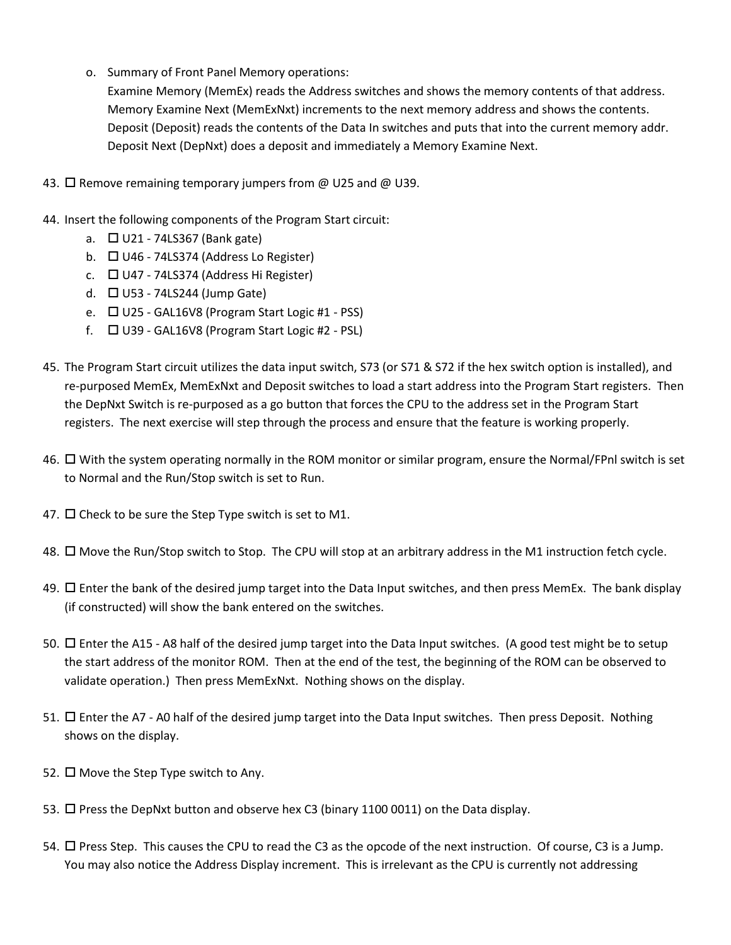o. Summary of Front Panel Memory operations:

Examine Memory (MemEx) reads the Address switches and shows the memory contents of that address. Memory Examine Next (MemExNxt) increments to the next memory address and shows the contents. Deposit (Deposit) reads the contents of the Data In switches and puts that into the current memory addr. Deposit Next (DepNxt) does a deposit and immediately a Memory Examine Next.

- 43. □ Remove remaining temporary jumpers from @ U25 and @ U39.
- 44. Insert the following components of the Program Start circuit:
	- a.  $\Box$  U21 74LS367 (Bank gate)
	- b.  $\Box$  U46 74LS374 (Address Lo Register)
	- c.  $\Box$  U47 74LS374 (Address Hi Register)
	- d.  $\Box$  U53 74LS244 (Jump Gate)
	- e.  $\Box$  U25 GAL16V8 (Program Start Logic #1 PSS)
	- f.  $\Box$  U39 GAL16V8 (Program Start Logic #2 PSL)
- 45. The Program Start circuit utilizes the data input switch, S73 (or S71 & S72 if the hex switch option is installed), and re-purposed MemEx, MemExNxt and Deposit switches to load a start address into the Program Start registers. Then the DepNxt Switch is re-purposed as a go button that forces the CPU to the address set in the Program Start registers. The next exercise will step through the process and ensure that the feature is working properly.
- 46.  $\Box$  With the system operating normally in the ROM monitor or similar program, ensure the Normal/FPnl switch is set to Normal and the Run/Stop switch is set to Run.
- 47.  $\Box$  Check to be sure the Step Type switch is set to M1.
- 48. Move the Run/Stop switch to Stop. The CPU will stop at an arbitrary address in the M1 instruction fetch cycle.
- 49.  $\Box$  Enter the bank of the desired jump target into the Data Input switches, and then press MemEx. The bank display (if constructed) will show the bank entered on the switches.
- 50. Enter the A15 A8 half of the desired jump target into the Data Input switches. (A good test might be to setup the start address of the monitor ROM. Then at the end of the test, the beginning of the ROM can be observed to validate operation.) Then press MemExNxt. Nothing shows on the display.
- 51. Enter the A7 A0 half of the desired jump target into the Data Input switches. Then press Deposit. Nothing shows on the display.
- 52.  $\Box$  Move the Step Type switch to Any.
- 53.  $\Box$  Press the DepNxt button and observe hex C3 (binary 1100 0011) on the Data display.
- 54.  $\Box$  Press Step. This causes the CPU to read the C3 as the opcode of the next instruction. Of course, C3 is a Jump. You may also notice the Address Display increment. This is irrelevant as the CPU is currently not addressing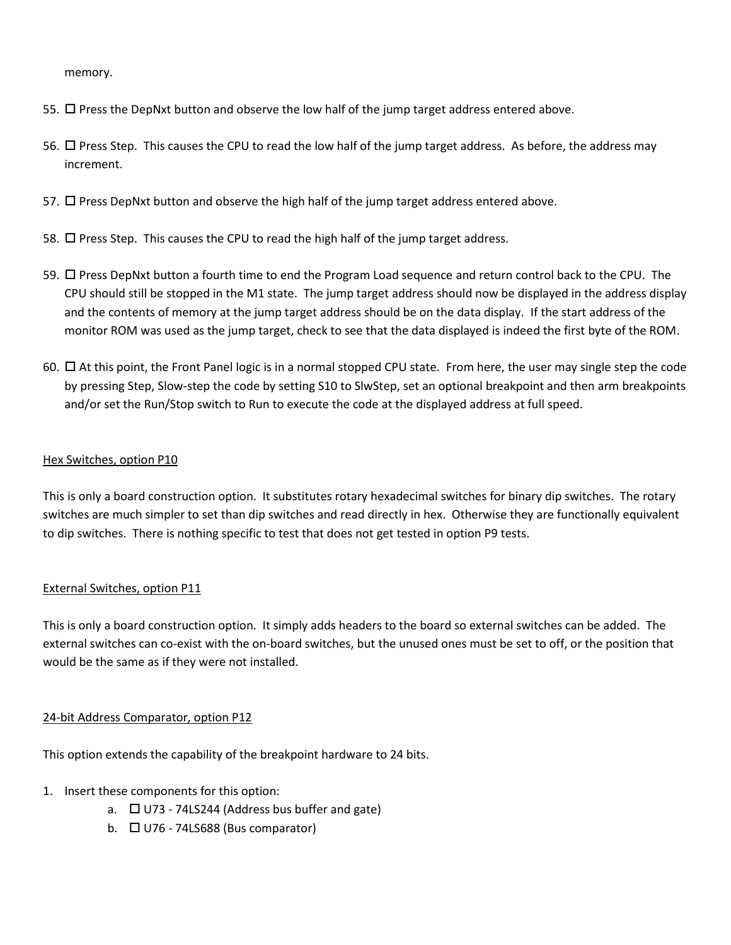memory.

- 55.  $\Box$  Press the DepNxt button and observe the low half of the jump target address entered above.
- 56.  $\Box$  Press Step. This causes the CPU to read the low half of the jump target address. As before, the address may increment.
- 57.  $\Box$  Press DepNxt button and observe the high half of the jump target address entered above.
- 58.  $\Box$  Press Step. This causes the CPU to read the high half of the jump target address.
- 59. Press DepNxt button a fourth time to end the Program Load sequence and return control back to the CPU. The CPU should still be stopped in the M1 state. The jump target address should now be displayed in the address display and the contents of memory at the jump target address should be on the data display. If the start address of the monitor ROM was used as the jump target, check to see that the data displayed is indeed the first byte of the ROM.
- 60.  $\Box$  At this point, the Front Panel logic is in a normal stopped CPU state. From here, the user may single step the code by pressing Step, Slow-step the code by setting S10 to SlwStep, set an optional breakpoint and then arm breakpoints and/or set the Run/Stop switch to Run to execute the code at the displayed address at full speed.

### Hex Switches, option P10

This is only a board construction option. It substitutes rotary hexadecimal switches for binary dip switches. The rotary switches are much simpler to set than dip switches and read directly in hex. Otherwise they are functionally equivalent to dip switches. There is nothing specific to test that does not get tested in option P9 tests.

#### External Switches, option P11

This is only a board construction option. It simply adds headers to the board so external switches can be added. The external switches can co-exist with the on-board switches, but the unused ones must be set to off, or the position that would be the same as if they were not installed.

#### 24-bit Address Comparator, option P12

This option extends the capability of the breakpoint hardware to 24 bits.

- 1. Insert these components for this option:
	- a.  $\Box$  U73 74LS244 (Address bus buffer and gate)
	- b.  $\Box$  U76 74LS688 (Bus comparator)